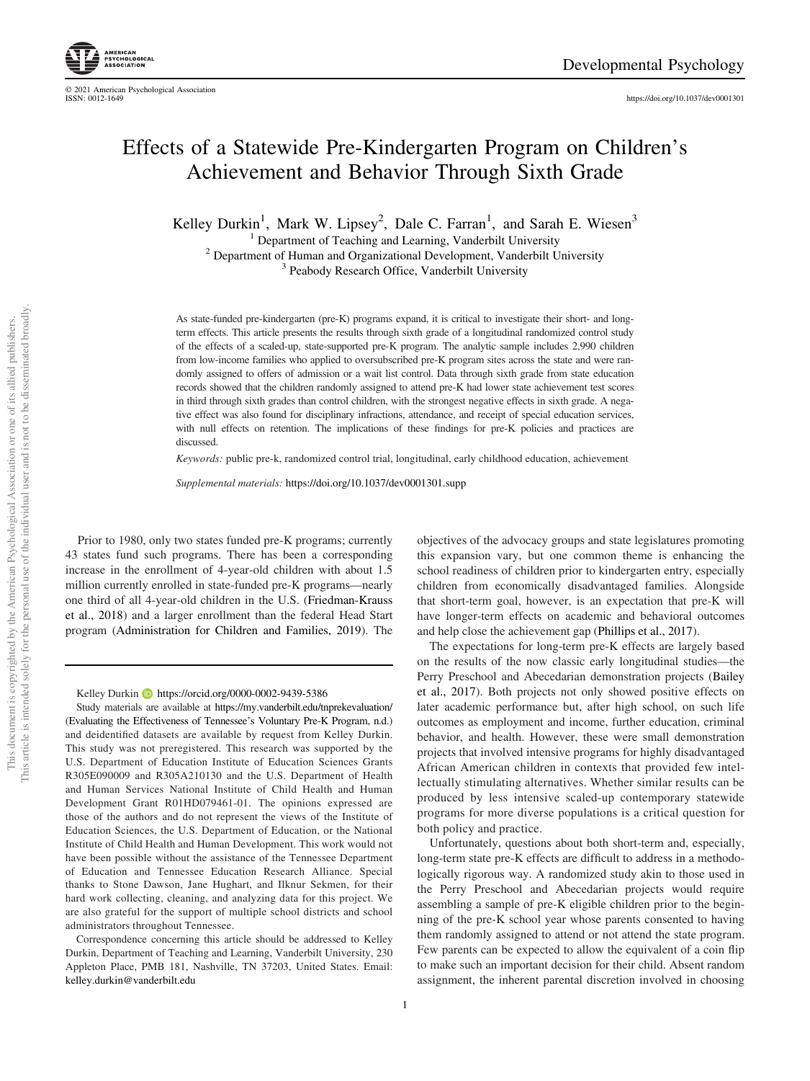https://doi.org/10.1037/dev0001301

# Effects of a Statewide Pre-Kindergarten Program on Children's Achievement and Behavior Through Sixth Grade

Kelley Durkin<sup>1</sup>, Mark W. Lipsey<sup>2</sup>, Dale C. Farran<sup>1</sup>, and Sarah E. Wiesen<sup>3</sup>

<sup>1</sup> Department of Teaching and Learning, Vanderbilt University

<sup>2</sup> Department of Human and Organizational Development, Vanderbilt University

<sup>3</sup> Peabody Research Office, Vanderbilt University

As state-funded pre-kindergarten (pre-K) programs expand, it is critical to investigate their short- and longterm effects. This article presents the results through sixth grade of a longitudinal randomized control study of the effects of a scaled-up, state-supported pre-K program. The analytic sample includes 2,990 children from low-income families who applied to oversubscribed pre-K program sites across the state and were randomly assigned to offers of admission or a wait list control. Data through sixth grade from state education records showed that the children randomly assigned to attend pre-K had lower state achievement test scores in third through sixth grades than control children, with the strongest negative effects in sixth grade. A negative effect was also found for disciplinary infractions, attendance, and receipt of special education services, with null effects on retention. The implications of these findings for pre-K policies and practices are discussed.

*Keywords:* public pre-k, randomized control trial, longitudinal, early childhood education, achievement

*Supplemental materials:* https://doi.org/10.1037/dev0001301.supp

Prior to 1980, only two states funded pre-K programs; currently 43 states fund such programs. There has been a corresponding increase in the enrollment of 4-year-old children with about 1.5 million currently enrolled in state-funded pre-K programs—nearly one third of all 4-year-old children in the U.S. (Friedman-Krauss et al., 2018) and a larger enrollment than the federal Head Start program (Administration for Children and Families, 2019). The

Kelley Durkin D https://orcid.org/0000-0002-9439-5386

Study materials are available at https://my.vanderbilt.edu/tnprekevaluation/ (Evaluating the Effectiveness of Tennessee's Voluntary Pre-K Program, n.d.) and deidentified datasets are available by request from Kelley Durkin. This study was not preregistered. This research was supported by the U.S. Department of Education Institute of Education Sciences Grants R305E090009 and R305A210130 and the U.S. Department of Health and Human Services National Institute of Child Health and Human Development Grant R01HD079461-01. The opinions expressed are those of the authors and do not represent the views of the Institute of Education Sciences, the U.S. Department of Education, or the National Institute of Child Health and Human Development. This work would not have been possible without the assistance of the Tennessee Department of Education and Tennessee Education Research Alliance. Special thanks to Stone Dawson, Jane Hughart, and Ilknur Sekmen, for their hard work collecting, cleaning, and analyzing data for this project. We are also grateful for the support of multiple school districts and school administrators throughout Tennessee.

Correspondence concerning this article should be addressed to Kelley Durkin, Department of Teaching and Learning, Vanderbilt University, 230 Appleton Place, PMB 181, Nashville, TN 37203, United States. Email: kelley.durkin@vanderbilt.edu

objectives of the advocacy groups and state legislatures promoting this expansion vary, but one common theme is enhancing the school readiness of children prior to kindergarten entry, especially children from economically disadvantaged families. Alongside that short-term goal, however, is an expectation that pre-K will have longer-term effects on academic and behavioral outcomes and help close the achievement gap (Phillips et al., 2017).

The expectations for long-term pre-K effects are largely based on the results of the now classic early longitudinal studies—the Perry Preschool and Abecedarian demonstration projects (Bailey et al., 2017). Both projects not only showed positive effects on later academic performance but, after high school, on such life outcomes as employment and income, further education, criminal behavior, and health. However, these were small demonstration projects that involved intensive programs for highly disadvantaged African American children in contexts that provided few intellectually stimulating alternatives. Whether similar results can be produced by less intensive scaled-up contemporary statewide programs for more diverse populations is a critical question for both policy and practice.

Unfortunately, questions about both short-term and, especially, long-term state pre-K effects are difficult to address in a methodologically rigorous way. A randomized study akin to those used in the Perry Preschool and Abecedarian projects would require assembling a sample of pre-K eligible children prior to the beginning of the pre-K school year whose parents consented to having them randomly assigned to attend or not attend the state program. Few parents can be expected to allow the equivalent of a coin flip to make such an important decision for their child. Absent random assignment, the inherent parental discretion involved in choosing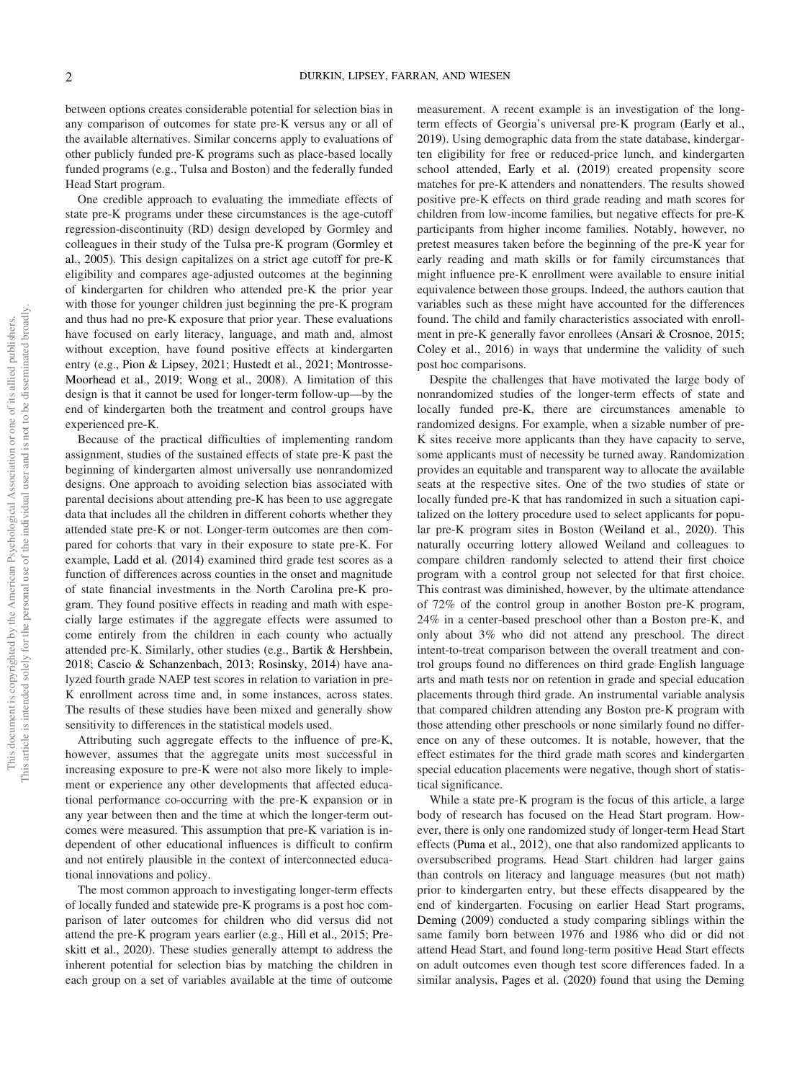between options creates considerable potential for selection bias in any comparison of outcomes for state pre-K versus any or all of the available alternatives. Similar concerns apply to evaluations of other publicly funded pre-K programs such as place-based locally funded programs (e.g., Tulsa and Boston) and the federally funded Head Start program.

One credible approach to evaluating the immediate effects of state pre-K programs under these circumstances is the age-cutoff regression-discontinuity (RD) design developed by Gormley and colleagues in their study of the Tulsa pre-K program (Gormley et al., 2005). This design capitalizes on a strict age cutoff for pre-K eligibility and compares age-adjusted outcomes at the beginning of kindergarten for children who attended pre-K the prior year with those for younger children just beginning the pre-K program and thus had no pre-K exposure that prior year. These evaluations have focused on early literacy, language, and math and, almost without exception, have found positive effects at kindergarten entry (e.g., Pion & Lipsey, 2021; Hustedt et al., 2021; Montrosse-Moorhead et al., 2019; Wong et al., 2008). A limitation of this design is that it cannot be used for longer-term follow-up—by the end of kindergarten both the treatment and control groups have experienced pre-K.

Because of the practical difficulties of implementing random assignment, studies of the sustained effects of state pre-K past the beginning of kindergarten almost universally use nonrandomized designs. One approach to avoiding selection bias associated with parental decisions about attending pre-K has been to use aggregate data that includes all the children in different cohorts whether they attended state pre-K or not. Longer-term outcomes are then compared for cohorts that vary in their exposure to state pre-K. For example, Ladd et al. (2014) examined third grade test scores as a function of differences across counties in the onset and magnitude of state financial investments in the North Carolina pre-K program. They found positive effects in reading and math with especially large estimates if the aggregate effects were assumed to come entirely from the children in each county who actually attended pre-K. Similarly, other studies (e.g., Bartik & Hershbein, 2018; Cascio & Schanzenbach, 2013; Rosinsky, 2014) have analyzed fourth grade NAEP test scores in relation to variation in pre-K enrollment across time and, in some instances, across states. The results of these studies have been mixed and generally show sensitivity to differences in the statistical models used.

Attributing such aggregate effects to the influence of pre-K, however, assumes that the aggregate units most successful in increasing exposure to pre-K were not also more likely to implement or experience any other developments that affected educational performance co-occurring with the pre-K expansion or in any year between then and the time at which the longer-term outcomes were measured. This assumption that pre-K variation is independent of other educational influences is difficult to confirm and not entirely plausible in the context of interconnected educational innovations and policy.

The most common approach to investigating longer-term effects of locally funded and statewide pre-K programs is a post hoc comparison of later outcomes for children who did versus did not attend the pre-K program years earlier (e.g., Hill et al., 2015; Preskitt et al., 2020). These studies generally attempt to address the inherent potential for selection bias by matching the children in each group on a set of variables available at the time of outcome measurement. A recent example is an investigation of the longterm effects of Georgia's universal pre-K program (Early et al., 2019). Using demographic data from the state database, kindergarten eligibility for free or reduced-price lunch, and kindergarten school attended, Early et al. (2019) created propensity score matches for pre-K attenders and nonattenders. The results showed positive pre-K effects on third grade reading and math scores for children from low-income families, but negative effects for pre-K participants from higher income families. Notably, however, no pretest measures taken before the beginning of the pre-K year for early reading and math skills or for family circumstances that might influence pre-K enrollment were available to ensure initial equivalence between those groups. Indeed, the authors caution that variables such as these might have accounted for the differences found. The child and family characteristics associated with enrollment in pre-K generally favor enrollees (Ansari & Crosnoe, 2015; Coley et al., 2016) in ways that undermine the validity of such post hoc comparisons.

Despite the challenges that have motivated the large body of nonrandomized studies of the longer-term effects of state and locally funded pre-K, there are circumstances amenable to randomized designs. For example, when a sizable number of pre-K sites receive more applicants than they have capacity to serve, some applicants must of necessity be turned away. Randomization provides an equitable and transparent way to allocate the available seats at the respective sites. One of the two studies of state or locally funded pre-K that has randomized in such a situation capitalized on the lottery procedure used to select applicants for popular pre-K program sites in Boston (Weiland et al., 2020). This naturally occurring lottery allowed Weiland and colleagues to compare children randomly selected to attend their first choice program with a control group not selected for that first choice. This contrast was diminished, however, by the ultimate attendance of 72% of the control group in another Boston pre-K program, 24% in a center-based preschool other than a Boston pre-K, and only about 3% who did not attend any preschool. The direct intent-to-treat comparison between the overall treatment and control groups found no differences on third grade English language arts and math tests nor on retention in grade and special education placements through third grade. An instrumental variable analysis that compared children attending any Boston pre-K program with those attending other preschools or none similarly found no difference on any of these outcomes. It is notable, however, that the effect estimates for the third grade math scores and kindergarten special education placements were negative, though short of statistical significance.

While a state pre-K program is the focus of this article, a large body of research has focused on the Head Start program. However, there is only one randomized study of longer-term Head Start effects (Puma et al., 2012), one that also randomized applicants to oversubscribed programs. Head Start children had larger gains than controls on literacy and language measures (but not math) prior to kindergarten entry, but these effects disappeared by the end of kindergarten. Focusing on earlier Head Start programs, Deming (2009) conducted a study comparing siblings within the same family born between 1976 and 1986 who did or did not attend Head Start, and found long-term positive Head Start effects on adult outcomes even though test score differences faded. In a similar analysis, Pages et al. (2020) found that using the Deming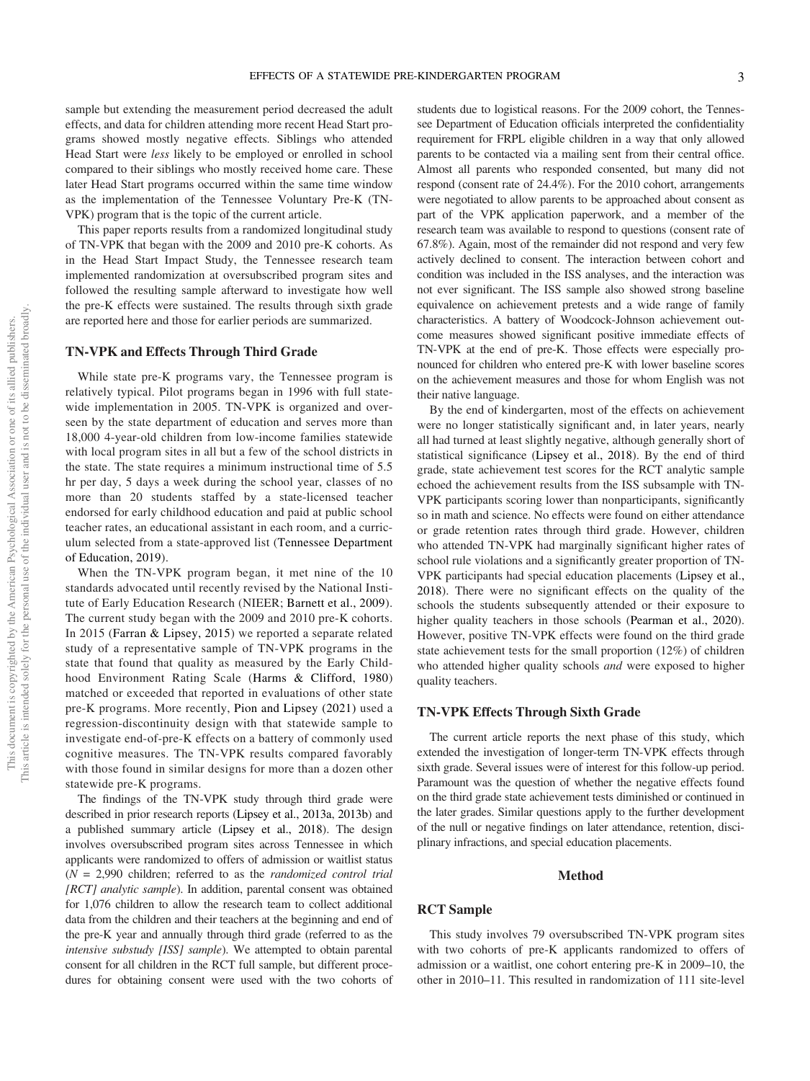sample but extending the measurement period decreased the adult effects, and data for children attending more recent Head Start programs showed mostly negative effects. Siblings who attended Head Start were *less* likely to be employed or enrolled in school compared to their siblings who mostly received home care. These later Head Start programs occurred within the same time window as the implementation of the Tennessee Voluntary Pre-K (TN-VPK) program that is the topic of the current article.

This paper reports results from a randomized longitudinal study of TN-VPK that began with the 2009 and 2010 pre-K cohorts. As in the Head Start Impact Study, the Tennessee research team implemented randomization at oversubscribed program sites and followed the resulting sample afterward to investigate how well the pre-K effects were sustained. The results through sixth grade are reported here and those for earlier periods are summarized.

## TN-VPK and Effects Through Third Grade

While state pre-K programs vary, the Tennessee program is relatively typical. Pilot programs began in 1996 with full statewide implementation in 2005. TN-VPK is organized and overseen by the state department of education and serves more than 18,000 4-year-old children from low-income families statewide with local program sites in all but a few of the school districts in the state. The state requires a minimum instructional time of 5.5 hr per day, 5 days a week during the school year, classes of no more than 20 students staffed by a state-licensed teacher endorsed for early childhood education and paid at public school teacher rates, an educational assistant in each room, and a curriculum selected from a state-approved list (Tennessee Department of Education, 2019).

When the TN-VPK program began, it met nine of the 10 standards advocated until recently revised by the National Institute of Early Education Research (NIEER; Barnett et al., 2009). The current study began with the 2009 and 2010 pre-K cohorts. In 2015 (Farran & Lipsey, 2015) we reported a separate related study of a representative sample of TN-VPK programs in the state that found that quality as measured by the Early Childhood Environment Rating Scale (Harms & Clifford, 1980) matched or exceeded that reported in evaluations of other state pre-K programs. More recently, Pion and Lipsey (2021) used a regression-discontinuity design with that statewide sample to investigate end-of-pre-K effects on a battery of commonly used cognitive measures. The TN-VPK results compared favorably with those found in similar designs for more than a dozen other statewide pre-K programs.

The findings of the TN-VPK study through third grade were described in prior research reports (Lipsey et al., 2013a, 2013b) and a published summary article (Lipsey et al., 2018). The design involves oversubscribed program sites across Tennessee in which applicants were randomized to offers of admission or waitlist status (*N* = 2,990 children; referred to as the *randomized control trial [RCT] analytic sample*). In addition, parental consent was obtained for 1,076 children to allow the research team to collect additional data from the children and their teachers at the beginning and end of the pre-K year and annually through third grade (referred to as the *intensive substudy [ISS] sample*). We attempted to obtain parental consent for all children in the RCT full sample, but different procedures for obtaining consent were used with the two cohorts of

students due to logistical reasons. For the 2009 cohort, the Tennessee Department of Education officials interpreted the confidentiality requirement for FRPL eligible children in a way that only allowed parents to be contacted via a mailing sent from their central office. Almost all parents who responded consented, but many did not respond (consent rate of 24.4%). For the 2010 cohort, arrangements were negotiated to allow parents to be approached about consent as part of the VPK application paperwork, and a member of the research team was available to respond to questions (consent rate of 67.8%). Again, most of the remainder did not respond and very few actively declined to consent. The interaction between cohort and condition was included in the ISS analyses, and the interaction was not ever significant. The ISS sample also showed strong baseline equivalence on achievement pretests and a wide range of family characteristics. A battery of Woodcock-Johnson achievement outcome measures showed significant positive immediate effects of TN-VPK at the end of pre-K. Those effects were especially pronounced for children who entered pre-K with lower baseline scores on the achievement measures and those for whom English was not their native language.

By the end of kindergarten, most of the effects on achievement were no longer statistically significant and, in later years, nearly all had turned at least slightly negative, although generally short of statistical significance (Lipsey et al., 2018). By the end of third grade, state achievement test scores for the RCT analytic sample echoed the achievement results from the ISS subsample with TN-VPK participants scoring lower than nonparticipants, significantly so in math and science. No effects were found on either attendance or grade retention rates through third grade. However, children who attended TN-VPK had marginally significant higher rates of school rule violations and a significantly greater proportion of TN-VPK participants had special education placements (Lipsey et al., 2018). There were no significant effects on the quality of the schools the students subsequently attended or their exposure to higher quality teachers in those schools (Pearman et al., 2020). However, positive TN-VPK effects were found on the third grade state achievement tests for the small proportion (12%) of children who attended higher quality schools *and* were exposed to higher quality teachers.

## TN-VPK Effects Through Sixth Grade

The current article reports the next phase of this study, which extended the investigation of longer-term TN-VPK effects through sixth grade. Several issues were of interest for this follow-up period. Paramount was the question of whether the negative effects found on the third grade state achievement tests diminished or continued in the later grades. Similar questions apply to the further development of the null or negative findings on later attendance, retention, disciplinary infractions, and special education placements.

## Method

# RCT Sample

This study involves 79 oversubscribed TN-VPK program sites with two cohorts of pre-K applicants randomized to offers of admission or a waitlist, one cohort entering pre-K in 2009–10, the other in 2010–11. This resulted in randomization of 111 site-level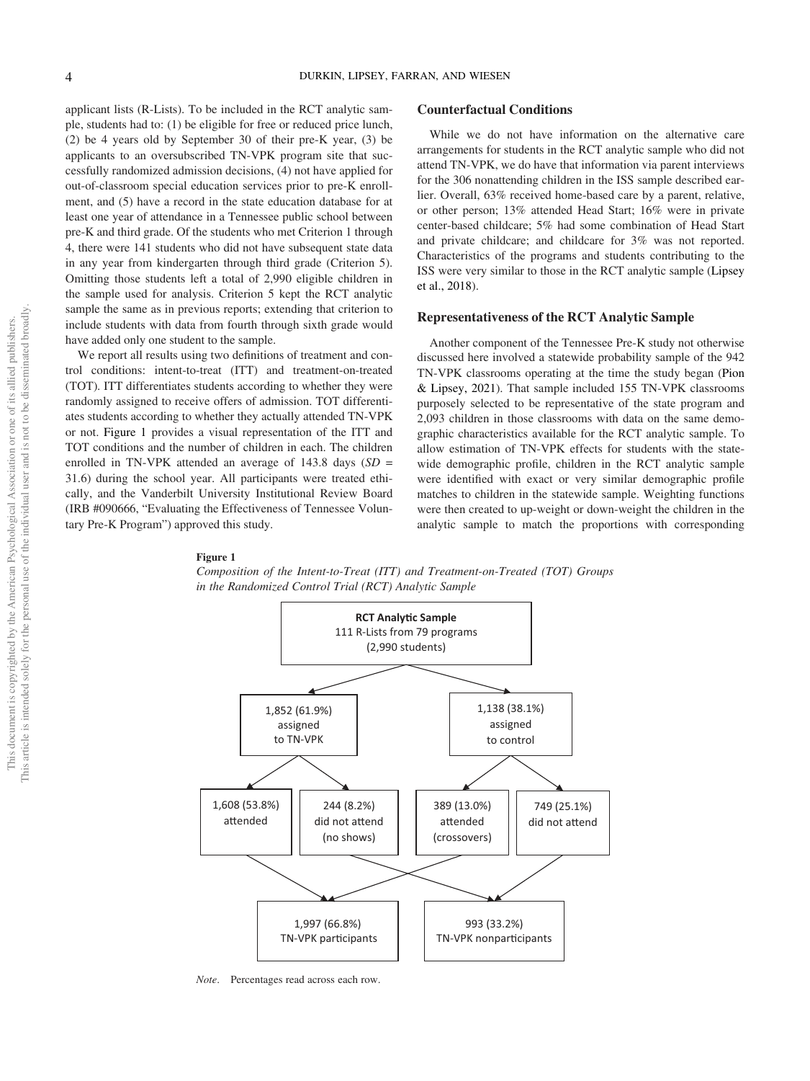applicant lists (R-Lists). To be included in the RCT analytic sample, students had to: (1) be eligible for free or reduced price lunch, (2) be 4 years old by September 30 of their pre-K year, (3) be applicants to an oversubscribed TN-VPK program site that successfully randomized admission decisions, (4) not have applied for out-of-classroom special education services prior to pre-K enrollment, and (5) have a record in the state education database for at least one year of attendance in a Tennessee public school between pre-K and third grade. Of the students who met Criterion 1 through 4, there were 141 students who did not have subsequent state data in any year from kindergarten through third grade (Criterion 5). Omitting those students left a total of 2,990 eligible children in the sample used for analysis. Criterion 5 kept the RCT analytic sample the same as in previous reports; extending that criterion to include students with data from fourth through sixth grade would have added only one student to the sample.

We report all results using two definitions of treatment and control conditions: intent-to-treat (ITT) and treatment-on-treated (TOT). ITT differentiates students according to whether they were randomly assigned to receive offers of admission. TOT differentiates students according to whether they actually attended TN-VPK or not. Figure 1 provides a visual representation of the ITT and TOT conditions and the number of children in each. The children enrolled in TN-VPK attended an average of 143.8 days (*SD* = 31.6) during the school year. All participants were treated ethically, and the Vanderbilt University Institutional Review Board (IRB #090666, "Evaluating the Effectiveness of Tennessee Voluntary Pre-K Program") approved this study.

#### Counterfactual Conditions

While we do not have information on the alternative care arrangements for students in the RCT analytic sample who did not attend TN-VPK, we do have that information via parent interviews for the 306 nonattending children in the ISS sample described earlier. Overall, 63% received home-based care by a parent, relative, or other person; 13% attended Head Start; 16% were in private center-based childcare; 5% had some combination of Head Start and private childcare; and childcare for 3% was not reported. Characteristics of the programs and students contributing to the ISS were very similar to those in the RCT analytic sample (Lipsey et al., 2018).

## Representativeness of the RCT Analytic Sample

Another component of the Tennessee Pre-K study not otherwise discussed here involved a statewide probability sample of the 942 TN-VPK classrooms operating at the time the study began (Pion & Lipsey, 2021). That sample included 155 TN-VPK classrooms purposely selected to be representative of the state program and 2,093 children in those classrooms with data on the same demographic characteristics available for the RCT analytic sample. To allow estimation of TN-VPK effects for students with the statewide demographic profile, children in the RCT analytic sample were identified with exact or very similar demographic profile matches to children in the statewide sample. Weighting functions were then created to up-weight or down-weight the children in the analytic sample to match the proportions with corresponding

#### Figure 1





*Note*. Percentages read across each row.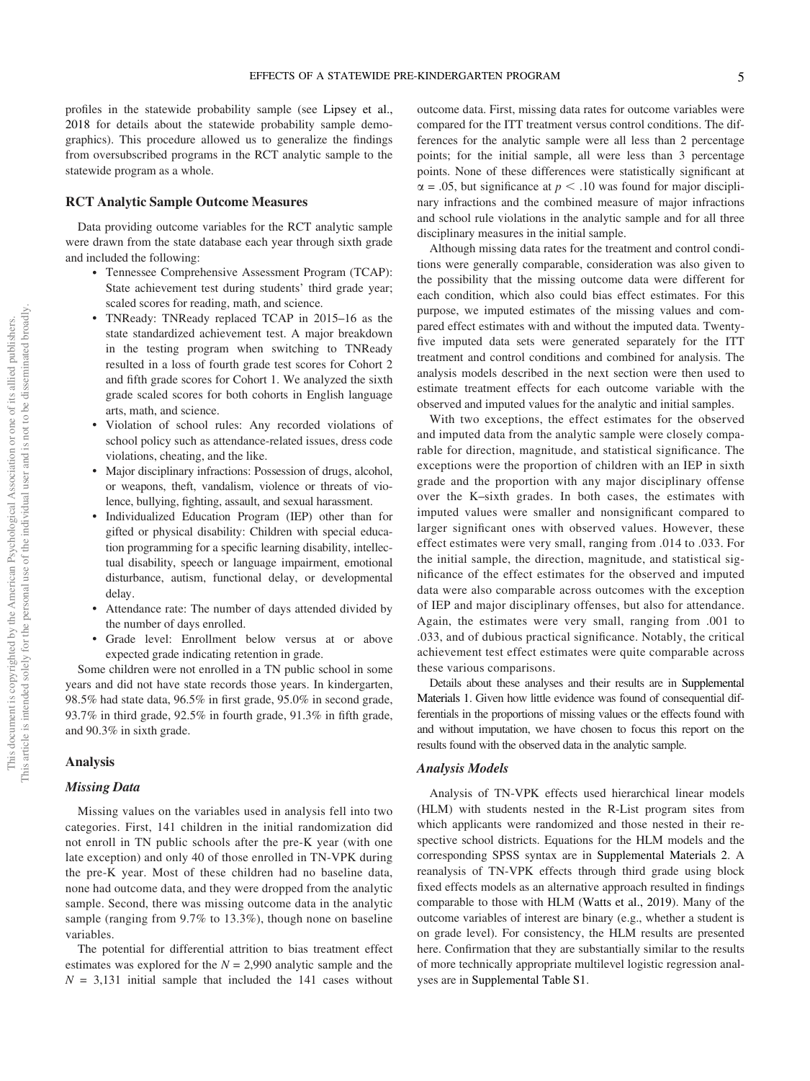profiles in the statewide probability sample (see Lipsey et al., 2018 for details about the statewide probability sample demographics). This procedure allowed us to generalize the findings from oversubscribed programs in the RCT analytic sample to the statewide program as a whole.

# RCT Analytic Sample Outcome Measures

Data providing outcome variables for the RCT analytic sample were drawn from the state database each year through sixth grade and included the following:

- Tennessee Comprehensive Assessment Program (TCAP): State achievement test during students' third grade year; scaled scores for reading, math, and science.
- TNReady: TNReady replaced TCAP in 2015–16 as the state standardized achievement test. A major breakdown in the testing program when switching to TNReady resulted in a loss of fourth grade test scores for Cohort 2 and fifth grade scores for Cohort 1. We analyzed the sixth grade scaled scores for both cohorts in English language arts, math, and science.
- Violation of school rules: Any recorded violations of school policy such as attendance-related issues, dress code violations, cheating, and the like.
- Major disciplinary infractions: Possession of drugs, alcohol, or weapons, theft, vandalism, violence or threats of violence, bullying, fighting, assault, and sexual harassment.
- Individualized Education Program (IEP) other than for gifted or physical disability: Children with special education programming for a specific learning disability, intellectual disability, speech or language impairment, emotional disturbance, autism, functional delay, or developmental delay.
- Attendance rate: The number of days attended divided by the number of days enrolled.
- Grade level: Enrollment below versus at or above expected grade indicating retention in grade.

Some children were not enrolled in a TN public school in some years and did not have state records those years. In kindergarten, 98.5% had state data, 96.5% in first grade, 95.0% in second grade, 93.7% in third grade, 92.5% in fourth grade, 91.3% in fifth grade, and 90.3% in sixth grade.

## Analysis

#### Missing Data

Missing values on the variables used in analysis fell into two categories. First, 141 children in the initial randomization did not enroll in TN public schools after the pre-K year (with one late exception) and only 40 of those enrolled in TN-VPK during the pre-K year. Most of these children had no baseline data, none had outcome data, and they were dropped from the analytic sample. Second, there was missing outcome data in the analytic sample (ranging from 9.7% to 13.3%), though none on baseline variables.

The potential for differential attrition to bias treatment effect estimates was explored for the  $N = 2,990$  analytic sample and the  $N = 3,131$  initial sample that included the 141 cases without outcome data. First, missing data rates for outcome variables were compared for the ITT treatment versus control conditions. The differences for the analytic sample were all less than 2 percentage points; for the initial sample, all were less than 3 percentage points. None of these differences were statistically significant at  $\alpha$  = .05, but significance at  $p < 0.10$  was found for major disciplinary infractions and the combined measure of major infractions and school rule violations in the analytic sample and for all three disciplinary measures in the initial sample.

Although missing data rates for the treatment and control conditions were generally comparable, consideration was also given to the possibility that the missing outcome data were different for each condition, which also could bias effect estimates. For this purpose, we imputed estimates of the missing values and compared effect estimates with and without the imputed data. Twentyfive imputed data sets were generated separately for the ITT treatment and control conditions and combined for analysis. The analysis models described in the next section were then used to estimate treatment effects for each outcome variable with the observed and imputed values for the analytic and initial samples.

With two exceptions, the effect estimates for the observed and imputed data from the analytic sample were closely comparable for direction, magnitude, and statistical significance. The exceptions were the proportion of children with an IEP in sixth grade and the proportion with any major disciplinary offense over the K–sixth grades. In both cases, the estimates with imputed values were smaller and nonsignificant compared to larger significant ones with observed values. However, these effect estimates were very small, ranging from .014 to .033. For the initial sample, the direction, magnitude, and statistical significance of the effect estimates for the observed and imputed data were also comparable across outcomes with the exception of IEP and major disciplinary offenses, but also for attendance. Again, the estimates were very small, ranging from .001 to .033, and of dubious practical significance. Notably, the critical achievement test effect estimates were quite comparable across these various comparisons.

Details about these analyses and their results are in Supplemental Materials 1. Given how little evidence was found of consequential differentials in the proportions of missing values or the effects found with and without imputation, we have chosen to focus this report on the results found with the observed data in the analytic sample.

#### Analysis Models

Analysis of TN-VPK effects used hierarchical linear models (HLM) with students nested in the R-List program sites from which applicants were randomized and those nested in their respective school districts. Equations for the HLM models and the corresponding SPSS syntax are in Supplemental Materials 2. A reanalysis of TN-VPK effects through third grade using block fixed effects models as an alternative approach resulted in findings comparable to those with HLM (Watts et al., 2019). Many of the outcome variables of interest are binary (e.g., whether a student is on grade level). For consistency, the HLM results are presented here. Confirmation that they are substantially similar to the results of more technically appropriate multilevel logistic regression analyses are in Supplemental Table S1.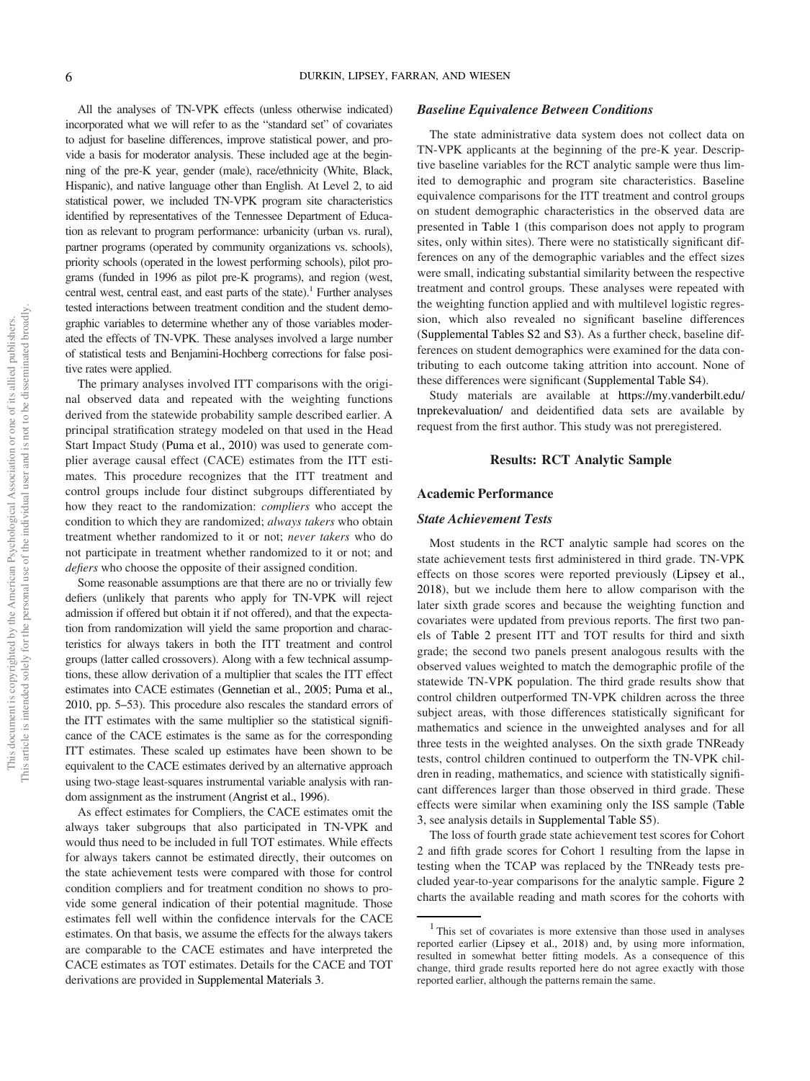All the analyses of TN-VPK effects (unless otherwise indicated) incorporated what we will refer to as the "standard set" of covariates to adjust for baseline differences, improve statistical power, and provide a basis for moderator analysis. These included age at the beginning of the pre-K year, gender (male), race/ethnicity (White, Black, Hispanic), and native language other than English. At Level 2, to aid statistical power, we included TN-VPK program site characteristics identified by representatives of the Tennessee Department of Education as relevant to program performance: urbanicity (urban vs. rural), partner programs (operated by community organizations vs. schools), priority schools (operated in the lowest performing schools), pilot programs (funded in 1996 as pilot pre-K programs), and region (west, central west, central east, and east parts of the state).<sup>1</sup> Further analyses tested interactions between treatment condition and the student demographic variables to determine whether any of those variables moderated the effects of TN-VPK. These analyses involved a large number of statistical tests and Benjamini-Hochberg corrections for false positive rates were applied.

The primary analyses involved ITT comparisons with the original observed data and repeated with the weighting functions derived from the statewide probability sample described earlier. A principal stratification strategy modeled on that used in the Head Start Impact Study (Puma et al., 2010) was used to generate complier average causal effect (CACE) estimates from the ITT estimates. This procedure recognizes that the ITT treatment and control groups include four distinct subgroups differentiated by how they react to the randomization: *compliers* who accept the condition to which they are randomized; *always takers* who obtain treatment whether randomized to it or not; *never takers* who do not participate in treatment whether randomized to it or not; and *de*fi*ers* who choose the opposite of their assigned condition.

Some reasonable assumptions are that there are no or trivially few defiers (unlikely that parents who apply for TN-VPK will reject admission if offered but obtain it if not offered), and that the expectation from randomization will yield the same proportion and characteristics for always takers in both the ITT treatment and control groups (latter called crossovers). Along with a few technical assumptions, these allow derivation of a multiplier that scales the ITT effect estimates into CACE estimates (Gennetian et al., 2005; Puma et al., 2010, pp. 5–53). This procedure also rescales the standard errors of the ITT estimates with the same multiplier so the statistical significance of the CACE estimates is the same as for the corresponding ITT estimates. These scaled up estimates have been shown to be equivalent to the CACE estimates derived by an alternative approach using two-stage least-squares instrumental variable analysis with random assignment as the instrument (Angrist et al., 1996).

As effect estimates for Compliers, the CACE estimates omit the always taker subgroups that also participated in TN-VPK and would thus need to be included in full TOT estimates. While effects for always takers cannot be estimated directly, their outcomes on the state achievement tests were compared with those for control condition compliers and for treatment condition no shows to provide some general indication of their potential magnitude. Those estimates fell well within the confidence intervals for the CACE estimates. On that basis, we assume the effects for the always takers are comparable to the CACE estimates and have interpreted the CACE estimates as TOT estimates. Details for the CACE and TOT derivations are provided in Supplemental Materials 3.

#### Baseline Equivalence Between Conditions

The state administrative data system does not collect data on TN-VPK applicants at the beginning of the pre-K year. Descriptive baseline variables for the RCT analytic sample were thus limited to demographic and program site characteristics. Baseline equivalence comparisons for the ITT treatment and control groups on student demographic characteristics in the observed data are presented in Table 1 (this comparison does not apply to program sites, only within sites). There were no statistically significant differences on any of the demographic variables and the effect sizes were small, indicating substantial similarity between the respective treatment and control groups. These analyses were repeated with the weighting function applied and with multilevel logistic regression, which also revealed no significant baseline differences (Supplemental Tables S2 and S3). As a further check, baseline differences on student demographics were examined for the data contributing to each outcome taking attrition into account. None of these differences were significant (Supplemental Table S4).

Study materials are available at https://my.vanderbilt.edu/ tnprekevaluation/ and deidentified data sets are available by request from the first author. This study was not preregistered.

#### Results: RCT Analytic Sample

## Academic Performance

#### State Achievement Tests

Most students in the RCT analytic sample had scores on the state achievement tests first administered in third grade. TN-VPK effects on those scores were reported previously (Lipsey et al., 2018), but we include them here to allow comparison with the later sixth grade scores and because the weighting function and covariates were updated from previous reports. The first two panels of Table 2 present ITT and TOT results for third and sixth grade; the second two panels present analogous results with the observed values weighted to match the demographic profile of the statewide TN-VPK population. The third grade results show that control children outperformed TN-VPK children across the three subject areas, with those differences statistically significant for mathematics and science in the unweighted analyses and for all three tests in the weighted analyses. On the sixth grade TNReady tests, control children continued to outperform the TN-VPK children in reading, mathematics, and science with statistically significant differences larger than those observed in third grade. These effects were similar when examining only the ISS sample (Table 3, see analysis details in Supplemental Table S5).

The loss of fourth grade state achievement test scores for Cohort 2 and fifth grade scores for Cohort 1 resulting from the lapse in testing when the TCAP was replaced by the TNReady tests precluded year-to-year comparisons for the analytic sample. Figure 2 charts the available reading and math scores for the cohorts with

<sup>&</sup>lt;sup>1</sup> This set of covariates is more extensive than those used in analyses reported earlier (Lipsey et al., 2018) and, by using more information, resulted in somewhat better fitting models. As a consequence of this change, third grade results reported here do not agree exactly with those reported earlier, although the patterns remain the same.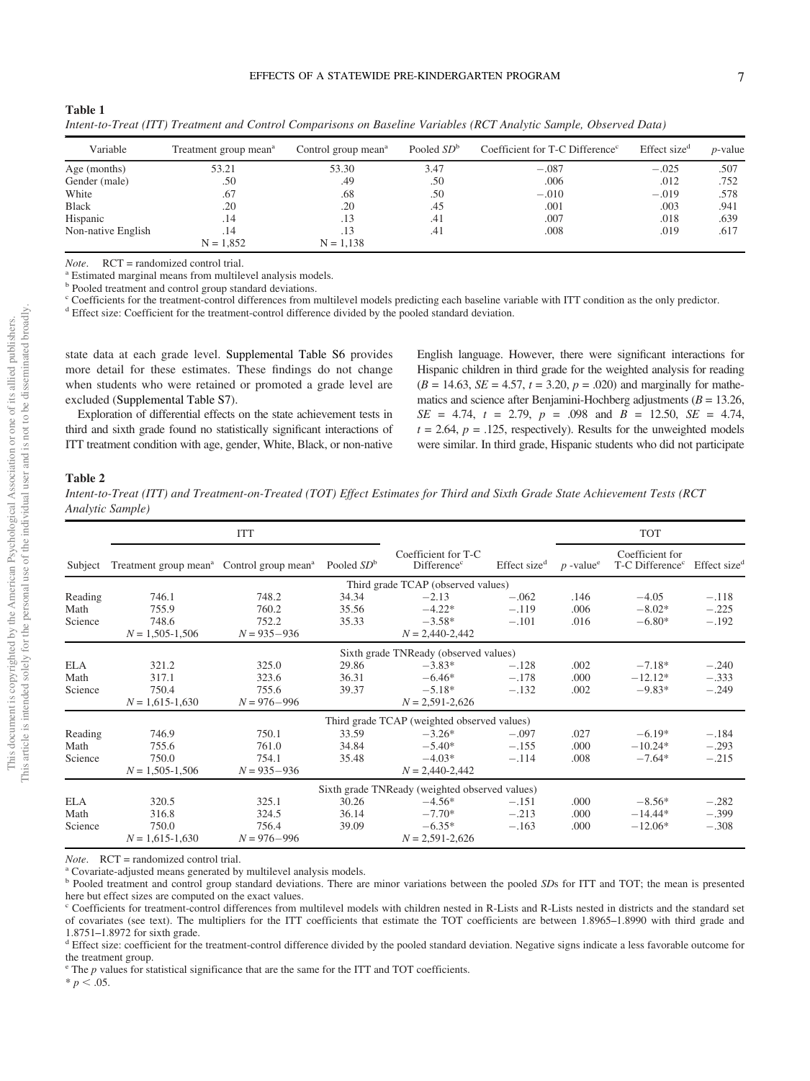| I  |  |
|----|--|
|    |  |
|    |  |
| ۰, |  |

| Variable           | Treatment group mean <sup>a</sup> | Control group mean <sup>a</sup> | Pooled $SDb$ | Coefficient for T-C Difference <sup>c</sup> | Effect size <sup>d</sup> | <i>p</i> -value |
|--------------------|-----------------------------------|---------------------------------|--------------|---------------------------------------------|--------------------------|-----------------|
| Age (months)       | 53.21                             | 53.30                           | 3.47         | $-.087$                                     | $-.025$                  | .507            |
| Gender (male)      | .50                               | .49                             | .50          | .006                                        | .012                     | .752            |
| White              | .67                               | .68                             | .50          | $-.010$                                     | $-.019$                  | .578            |
| <b>Black</b>       | .20                               | $.20\,$                         | .45          | .001                                        | .003                     | .941            |
| Hispanic           | .14                               | .13                             | .41          | .007                                        | .018                     | .639            |
| Non-native English | .14                               | .13                             | .41          | .008                                        | .019                     | .617            |
|                    | $N = 1,852$                       | $N = 1,138$                     |              |                                             |                          |                 |

*Intent-to-Treat (ITT) Treatment and Control Comparisons on Baseline Variables (RCT Analytic Sample, Observed Data)*

*Note.* RCT = randomized control trial.

<sup>a</sup> Estimated marginal means from multilevel analysis models.

**b** Pooled treatment and control group standard deviations.

<sup>c</sup> Coefficients for the treatment-control differences from multilevel models predicting each baseline variable with ITT condition as the only predictor.

<sup>d</sup> Effect size: Coefficient for the treatment-control difference divided by the pooled standard deviation.

state data at each grade level. Supplemental Table S6 provides more detail for these estimates. These findings do not change when students who were retained or promoted a grade level are excluded (Supplemental Table S7).

Exploration of differential effects on the state achievement tests in third and sixth grade found no statistically significant interactions of ITT treatment condition with age, gender, White, Black, or non-native English language. However, there were significant interactions for Hispanic children in third grade for the weighted analysis for reading  $(B = 14.63, SE = 4.57, t = 3.20, p = .020)$  and marginally for mathematics and science after Benjamini-Hochberg adjustments ( $B = 13.26$ , *SE* = 4.74, *t* = 2.79, *p* = .098 and *B* = 12.50, *SE* = 4.74,  $t = 2.64$ ,  $p = .125$ , respectively). Results for the unweighted models were similar. In third grade, Hispanic students who did not participate

#### Table 2

Table 1

*Intent-to-Treat (ITT) and Treatment-on-Treated (TOT) Effect Estimates for Third and Sixth Grade State Achievement Tests (RCT Analytic Sample)*

|                               |                                                                   | <b>ITT</b>                                 |                         |                                                         |                               |                         | <b>TOT</b>                                     |                               |
|-------------------------------|-------------------------------------------------------------------|--------------------------------------------|-------------------------|---------------------------------------------------------|-------------------------------|-------------------------|------------------------------------------------|-------------------------------|
| Subject                       | Treatment group mean <sup>a</sup> Control group mean <sup>a</sup> |                                            | Pooled $SDb$            | Coefficient for T-C<br>Difference <sup>c</sup>          | Effect size <sup>d</sup>      | $p$ -value <sup>e</sup> | Coefficient for<br>T-C Difference <sup>c</sup> | Effect size <sup>a</sup>      |
|                               |                                                                   |                                            |                         | Third grade TCAP (observed values)                      |                               |                         |                                                |                               |
| Reading<br>Math<br>Science    | 746.1<br>755.9<br>748.6<br>$N = 1,505 - 1,506$                    | 748.2<br>760.2<br>752.2<br>$N = 935 - 936$ | 34.34<br>35.56<br>35.33 | $-2.13$<br>$-4.22*$<br>$-3.58*$<br>$N = 2,440 - 2,442$  | $-.062$<br>$-.119$<br>$-.101$ | .146<br>.006<br>.016    | $-4.05$<br>$-8.02*$<br>$-6.80*$                | $-.118$<br>$-.225$<br>$-.192$ |
|                               |                                                                   |                                            |                         | Sixth grade TNReady (observed values)                   |                               |                         |                                                |                               |
| <b>ELA</b><br>Math<br>Science | 321.2<br>317.1<br>750.4<br>$N = 1,615 - 1,630$                    | 325.0<br>323.6<br>755.6<br>$N = 976 - 996$ | 29.86<br>36.31<br>39.37 | $-3.83*$<br>$-6.46*$<br>$-5.18*$<br>$N = 2,591 - 2,626$ | $-.128$<br>$-.178$<br>$-.132$ | .002<br>.000<br>.002    | $-7.18*$<br>$-12.12*$<br>$-9.83*$              | $-.240$<br>$-.333$<br>$-.249$ |
|                               |                                                                   |                                            |                         | Third grade TCAP (weighted observed values)             |                               |                         |                                                |                               |
| Reading<br>Math<br>Science    | 746.9<br>755.6<br>750.0<br>$N = 1,505 - 1,506$                    | 750.1<br>761.0<br>754.1<br>$N = 935 - 936$ | 33.59<br>34.84<br>35.48 | $-3.26*$<br>$-5.40*$<br>$-4.03*$<br>$N = 2,440 - 2,442$ | $-.097$<br>$-.155$<br>$-.114$ | .027<br>.000<br>.008    | $-6.19*$<br>$-10.24*$<br>$-7.64*$              | $-.184$<br>$-.293$<br>$-.215$ |
|                               |                                                                   |                                            |                         | Sixth grade TNReady (weighted observed values)          |                               |                         |                                                |                               |
| <b>ELA</b><br>Math<br>Science | 320.5<br>316.8<br>750.0<br>$N = 1,615-1,630$                      | 325.1<br>324.5<br>756.4<br>$N = 976 - 996$ | 30.26<br>36.14<br>39.09 | $-4.56*$<br>$-7.70*$<br>$-6.35*$<br>$N = 2,591 - 2,626$ | $-.151$<br>$-.213$<br>$-.163$ | .000.<br>.000.<br>.000  | $-8.56*$<br>$-14.44*$<br>$-12.06*$             | $-.282$<br>$-.399$<br>$-.308$ |

*Note*. RCT = randomized control trial.

<sup>a</sup> Covariate-adjusted means generated by multilevel analysis models.

<sup>b</sup> Pooled treatment and control group standard deviations. There are minor variations between the pooled *SD*s for ITT and TOT; the mean is presented here but effect sizes are computed on the exact values.

<sup>c</sup> Coefficients for treatment-control differences from multilevel models with children nested in R-Lists and R-Lists nested in districts and the standard set of covariates (see text). The multipliers for the ITT coefficients that estimate the TOT coefficients are between 1.8965–1.8990 with third grade and 1.8751–1.8972 for sixth grade.

<sup>d</sup> Effect size: coefficient for the treatment-control difference divided by the pooled standard deviation. Negative signs indicate a less favorable outcome for the treatment group.

<sup>e</sup> The *p* values for statistical significance that are the same for the ITT and TOT coefficients.

 $* p < .05.$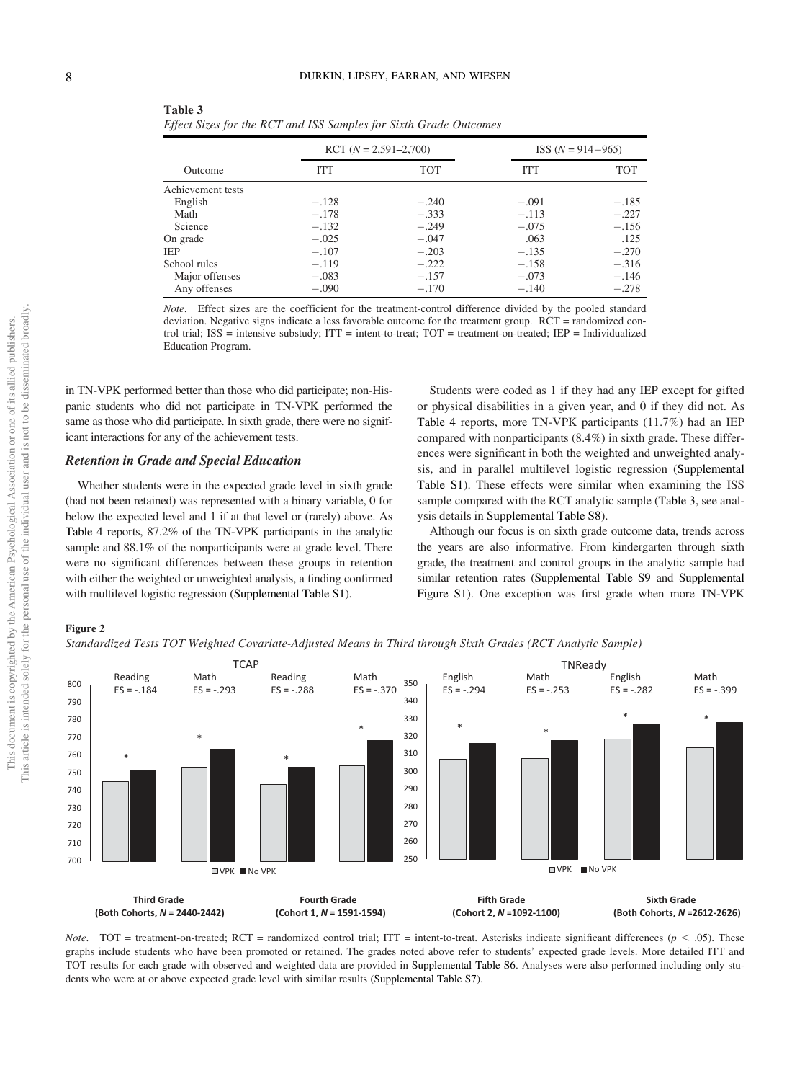|                   |            | RCT $(N = 2,591 - 2,700)$ |            | ISS $(N = 914 - 965)$ |
|-------------------|------------|---------------------------|------------|-----------------------|
| Outcome           | <b>ITT</b> | <b>TOT</b>                | <b>ITT</b> | <b>TOT</b>            |
| Achievement tests |            |                           |            |                       |
| English           | $-.128$    | $-.240$                   | $-.091$    | $-.185$               |
| Math              | $-.178$    | $-.333$                   | $-.113$    | $-.227$               |
| Science           | $-.132$    | $-.249$                   | $-.075$    | $-.156$               |
| On grade          | $-.025$    | $-.047$                   | .063       | .125                  |
| <b>IEP</b>        | $-.107$    | $-.203$                   | $-.135$    | $-.270$               |
| School rules      | $-.119$    | $-.222$                   | $-.158$    | $-.316$               |
| Major offenses    | $-.083$    | $-.157$                   | $-.073$    | $-.146$               |
| Any offenses      | $-.090$    | $-.170$                   | $-.140$    | $-.278$               |

| Table 3                                                           |
|-------------------------------------------------------------------|
| Effect Sizes for the RCT and ISS Samples for Sixth Grade Outcomes |

*Note*. Effect sizes are the coefficient for the treatment-control difference divided by the pooled standard deviation. Negative signs indicate a less favorable outcome for the treatment group. RCT = randomized control trial; ISS = intensive substudy; ITT = intent-to-treat; TOT = treatment-on-treated; IEP = Individualized Education Program.

in TN-VPK performed better than those who did participate; non-Hispanic students who did not participate in TN-VPK performed the same as those who did participate. In sixth grade, there were no significant interactions for any of the achievement tests.

#### Retention in Grade and Special Education

Whether students were in the expected grade level in sixth grade (had not been retained) was represented with a binary variable, 0 for below the expected level and 1 if at that level or (rarely) above. As Table 4 reports, 87.2% of the TN-VPK participants in the analytic sample and 88.1% of the nonparticipants were at grade level. There were no significant differences between these groups in retention with either the weighted or unweighted analysis, a finding confirmed with multilevel logistic regression (Supplemental Table S1).

Students were coded as 1 if they had any IEP except for gifted or physical disabilities in a given year, and 0 if they did not. As Table 4 reports, more TN-VPK participants (11.7%) had an IEP compared with nonparticipants (8.4%) in sixth grade. These differences were significant in both the weighted and unweighted analysis, and in parallel multilevel logistic regression (Supplemental Table S1). These effects were similar when examining the ISS sample compared with the RCT analytic sample (Table 3, see analysis details in Supplemental Table S8).

Although our focus is on sixth grade outcome data, trends across the years are also informative. From kindergarten through sixth grade, the treatment and control groups in the analytic sample had similar retention rates (Supplemental Table S9 and Supplemental Figure S1). One exception was first grade when more TN-VPK

# Figure 2

*Standardized Tests TOT Weighted Covariate-Adjusted Means in Third through Sixth Grades (RCT Analytic Sample)*



*Note*. TOT = treatment-on-treated; RCT = randomized control trial; ITT = intent-to-treat. Asterisks indicate significant differences ( $p$  < .05). These graphs include students who have been promoted or retained. The grades noted above refer to students' expected grade levels. More detailed ITT and TOT results for each grade with observed and weighted data are provided in Supplemental Table S6. Analyses were also performed including only students who were at or above expected grade level with similar results (Supplemental Table S7).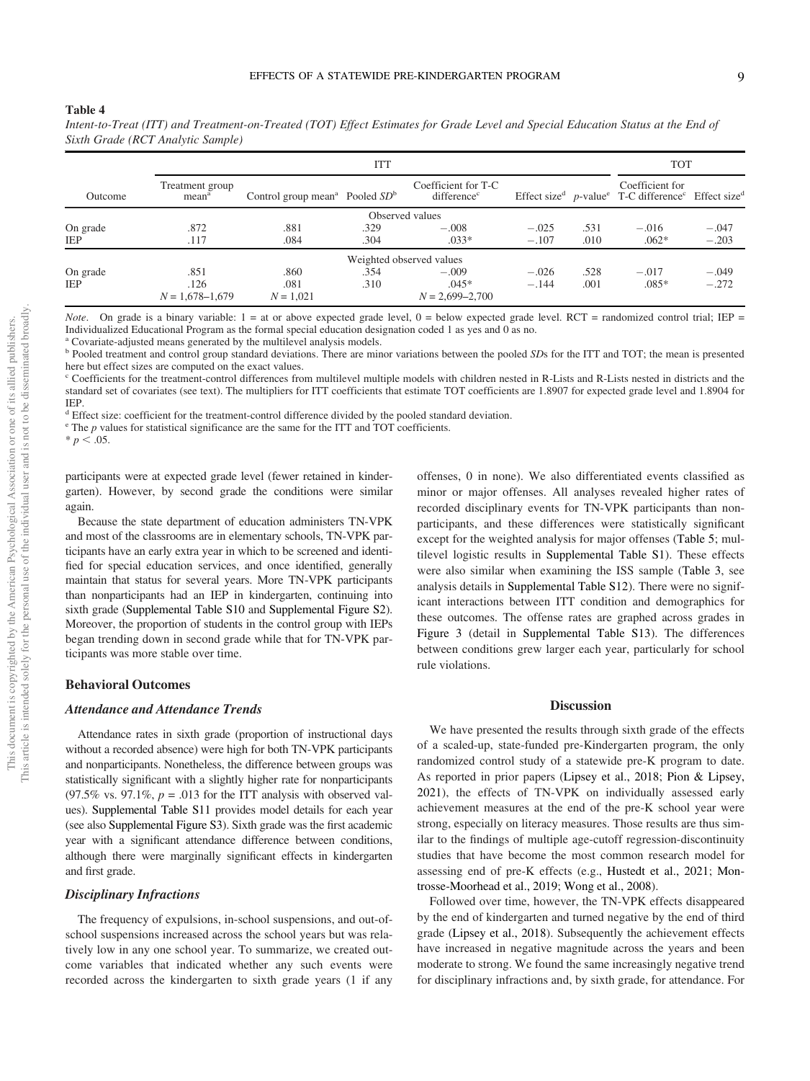#### Table 4

|            | <b>ITT</b>                           |                                              |      |                                                |         |      | <b>TOT</b>                                                                                                            |         |
|------------|--------------------------------------|----------------------------------------------|------|------------------------------------------------|---------|------|-----------------------------------------------------------------------------------------------------------------------|---------|
| Outcome    | Treatment group<br>mean <sup>a</sup> | Control group mean <sup>a</sup> Pooled $SDb$ |      | Coefficient for T-C<br>difference <sup>c</sup> |         |      | Coefficient for<br>Effect size <sup>d</sup> p-value <sup>e</sup> T-C difference <sup>c</sup> Effect size <sup>d</sup> |         |
|            |                                      |                                              |      | Observed values                                |         |      |                                                                                                                       |         |
| On grade   | .872                                 | .881                                         | .329 | $-.008$                                        | $-.025$ | .531 | $-.016$                                                                                                               | $-.047$ |
| IEP        | .117                                 | .084                                         | .304 | $.033*$                                        | $-.107$ | .010 | $.062*$                                                                                                               | $-.203$ |
|            |                                      |                                              |      | Weighted observed values                       |         |      |                                                                                                                       |         |
| On grade   | .851                                 | .860                                         | .354 | $-.009$                                        | $-.026$ | .528 | $-.017$                                                                                                               | $-.049$ |
| <b>IEP</b> | .126                                 | .081                                         | .310 | $.045*$                                        | $-.144$ | .001 | $.085*$                                                                                                               | $-.272$ |
|            | $N = 1,678 - 1,679$                  | $N = 1,021$                                  |      | $N = 2,699 - 2,700$                            |         |      |                                                                                                                       |         |

*Intent-to-Treat (ITT) and Treatment-on-Treated (TOT) Effect Estimates for Grade Level and Special Education Status at the End of Sixth Grade (RCT Analytic Sample)*

*Note*. On grade is a binary variable: 1 = at or above expected grade level, 0 = below expected grade level. RCT = randomized control trial; IEP = Individualized Educational Program as the formal special education designation coded 1 as yes and 0 as no.

<sup>a</sup> Covariate-adjusted means generated by the multilevel analysis models.

<sup>b</sup> Pooled treatment and control group standard deviations. There are minor variations between the pooled *SD*s for the ITT and TOT; the mean is presented here but effect sizes are computed on the exact values.

<sup>c</sup> Coefficients for the treatment-control differences from multilevel multiple models with children nested in R-Lists and R-Lists nested in districts and the standard set of covariates (see text). The multipliers for ITT coefficients that estimate TOT coefficients are 1.8907 for expected grade level and 1.8904 for IEP.

<sup>d</sup> Effect size: coefficient for the treatment-control difference divided by the pooled standard deviation.

<sup>e</sup> The *p* values for statistical significance are the same for the ITT and TOT coefficients.

 $* p < .05.$ 

participants were at expected grade level (fewer retained in kindergarten). However, by second grade the conditions were similar again.

Because the state department of education administers TN-VPK and most of the classrooms are in elementary schools, TN-VPK participants have an early extra year in which to be screened and identified for special education services, and once identified, generally maintain that status for several years. More TN-VPK participants than nonparticipants had an IEP in kindergarten, continuing into sixth grade (Supplemental Table S10 and Supplemental Figure S2). Moreover, the proportion of students in the control group with IEPs began trending down in second grade while that for TN-VPK participants was more stable over time.

# Behavioral Outcomes

#### Attendance and Attendance Trends

Attendance rates in sixth grade (proportion of instructional days without a recorded absence) were high for both TN-VPK participants and nonparticipants. Nonetheless, the difference between groups was statistically significant with a slightly higher rate for nonparticipants (97.5% vs. 97.1%,  $p = .013$  for the ITT analysis with observed values). Supplemental Table S11 provides model details for each year (see also Supplemental Figure S3). Sixth grade was the first academic year with a significant attendance difference between conditions, although there were marginally significant effects in kindergarten and first grade.

# Disciplinary Infractions

The frequency of expulsions, in-school suspensions, and out-ofschool suspensions increased across the school years but was relatively low in any one school year. To summarize, we created outcome variables that indicated whether any such events were recorded across the kindergarten to sixth grade years (1 if any

offenses, 0 in none). We also differentiated events classified as minor or major offenses. All analyses revealed higher rates of recorded disciplinary events for TN-VPK participants than nonparticipants, and these differences were statistically significant except for the weighted analysis for major offenses (Table 5; multilevel logistic results in Supplemental Table S1). These effects were also similar when examining the ISS sample (Table 3, see analysis details in Supplemental Table S12). There were no significant interactions between ITT condition and demographics for these outcomes. The offense rates are graphed across grades in Figure 3 (detail in Supplemental Table S13). The differences between conditions grew larger each year, particularly for school rule violations.

## **Discussion**

We have presented the results through sixth grade of the effects of a scaled-up, state-funded pre-Kindergarten program, the only randomized control study of a statewide pre-K program to date. As reported in prior papers (Lipsey et al., 2018; Pion & Lipsey, 2021), the effects of TN-VPK on individually assessed early achievement measures at the end of the pre-K school year were strong, especially on literacy measures. Those results are thus similar to the findings of multiple age-cutoff regression-discontinuity studies that have become the most common research model for assessing end of pre-K effects (e.g., Hustedt et al., 2021; Montrosse-Moorhead et al., 2019; Wong et al., 2008).

Followed over time, however, the TN-VPK effects disappeared by the end of kindergarten and turned negative by the end of third grade (Lipsey et al., 2018). Subsequently the achievement effects have increased in negative magnitude across the years and been moderate to strong. We found the same increasingly negative trend for disciplinary infractions and, by sixth grade, for attendance. For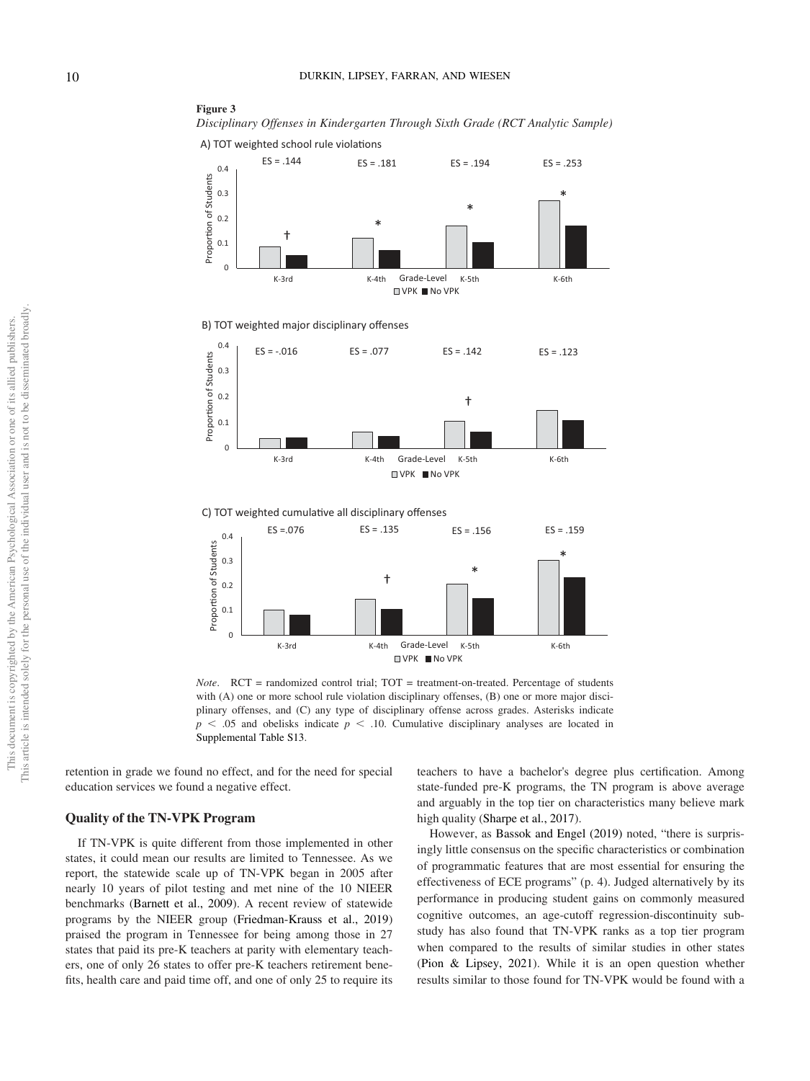



B) TOT weighted major disciplinary offenses



C) TOT weighted cumulative all disciplinary offenses



*Note.* RCT = randomized control trial; TOT = treatment-on-treated. Percentage of students with (A) one or more school rule violation disciplinary offenses, (B) one or more major disciplinary offenses, and (C) any type of disciplinary offense across grades. Asterisks indicate  $p \leq 0.05$  and obelisks indicate  $p \leq 0.10$ . Cumulative disciplinary analyses are located in Supplemental Table S13.

retention in grade we found no effect, and for the need for special education services we found a negative effect.

# Quality of the TN-VPK Program

If TN-VPK is quite different from those implemented in other states, it could mean our results are limited to Tennessee. As we report, the statewide scale up of TN-VPK began in 2005 after nearly 10 years of pilot testing and met nine of the 10 NIEER benchmarks (Barnett et al., 2009). A recent review of statewide programs by the NIEER group (Friedman-Krauss et al., 2019) praised the program in Tennessee for being among those in 27 states that paid its pre-K teachers at parity with elementary teachers, one of only 26 states to offer pre-K teachers retirement benefits, health care and paid time off, and one of only 25 to require its teachers to have a bachelor's degree plus certification. Among state-funded pre-K programs, the TN program is above average and arguably in the top tier on characteristics many believe mark high quality (Sharpe et al., 2017).

However, as Bassok and Engel (2019) noted, "there is surprisingly little consensus on the specific characteristics or combination of programmatic features that are most essential for ensuring the effectiveness of ECE programs" (p. 4). Judged alternatively by its performance in producing student gains on commonly measured cognitive outcomes, an age-cutoff regression-discontinuity substudy has also found that TN-VPK ranks as a top tier program when compared to the results of similar studies in other states (Pion & Lipsey, 2021). While it is an open question whether results similar to those found for TN-VPK would be found with a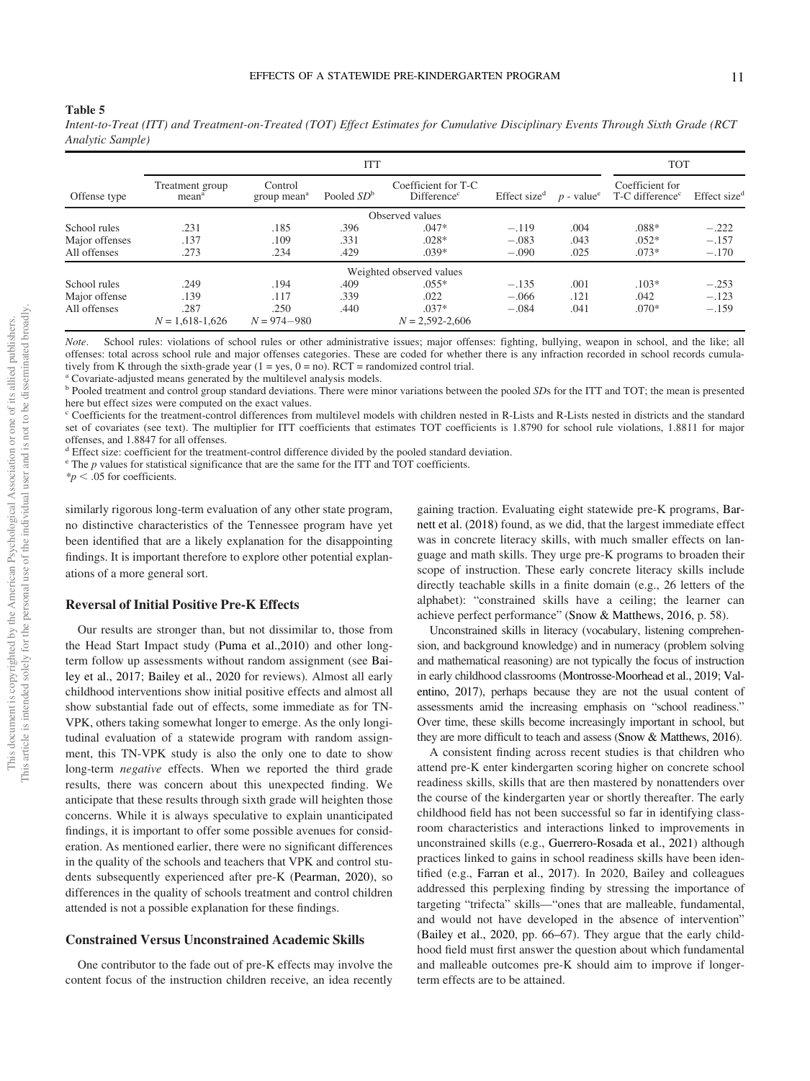Table 5

*Intent-to-Treat (ITT) and Treatment-on-Treated (TOT) Effect Estimates for Cumulative Disciplinary Events Through Sixth Grade (RCT Analytic Sample)*

|                | <b>ITT</b>                           |                                    |              |                                                |                          |      | <b>TOT</b>                                                              |                          |
|----------------|--------------------------------------|------------------------------------|--------------|------------------------------------------------|--------------------------|------|-------------------------------------------------------------------------|--------------------------|
| Offense type   | Treatment group<br>mean <sup>a</sup> | Control<br>group mean <sup>a</sup> | Pooled $SDb$ | Coefficient for T-C<br>Difference <sup>c</sup> | Effect size <sup>d</sup> |      | Coefficient for<br>$p$ - value <sup>e</sup> T-C difference <sup>c</sup> | Effect size <sup>d</sup> |
|                |                                      |                                    |              | Observed values                                |                          |      |                                                                         |                          |
| School rules   | .231                                 | .185                               | .396         | $.047*$                                        | $-.119$                  | .004 | $.088*$                                                                 | $-.222$                  |
| Major offenses | .137                                 | .109                               | .331         | $.028*$                                        | $-.083$                  | .043 | $.052*$                                                                 | $-.157$                  |
| All offenses   | .273                                 | .234                               | .429         | $.039*$                                        | $-.090$                  | .025 | $.073*$                                                                 | $-.170$                  |
|                |                                      |                                    |              | Weighted observed values                       |                          |      |                                                                         |                          |
| School rules   | .249                                 | .194                               | .409         | $.055*$                                        | $-.135$                  | .001 | $.103*$                                                                 | $-.253$                  |
| Major offense  | .139                                 | .117                               | .339         | .022                                           | $-.066$                  | .121 | .042                                                                    | $-.123$                  |
| All offenses   | .287                                 | .250                               | .440         | $.037*$                                        | $-.084$                  | .041 | $.070*$                                                                 | $-.159$                  |
|                | $N = 1,618-1,626$                    | $N = 974 - 980$                    |              | $N = 2.592 - 2.606$                            |                          |      |                                                                         |                          |

*Note*. School rules: violations of school rules or other administrative issues; major offenses: fighting, bullying, weapon in school, and the like; all offenses: total across school rule and major offenses categories. These are coded for whether there is any infraction recorded in school records cumulatively from K through the sixth-grade year  $(1 = yes, 0 = no)$ . RCT = randomized control trial.

<sup>a</sup> Covariate-adjusted means generated by the multilevel analysis models.

<sup>b</sup> Pooled treatment and control group standard deviations. There were minor variations between the pooled *SD*s for the ITT and TOT; the mean is presented here but effect sizes were computed on the exact values.

 $\degree$  Coefficients for the treatment-control differences from multilevel models with children nested in R-Lists and R-Lists nested in districts and the standard set of covariates (see text). The multiplier for ITT coefficients that estimates TOT coefficients is 1.8790 for school rule violations, 1.8811 for major offenses, and 1.8847 for all offenses.

<sup>d</sup> Effect size: coefficient for the treatment-control difference divided by the pooled standard deviation.

 $e^e$  The  $p$  values for statistical significance that are the same for the ITT and TOT coefficients.

 $*<sub>p</sub> < .05$  for coefficients.

similarly rigorous long-term evaluation of any other state program, no distinctive characteristics of the Tennessee program have yet been identified that are a likely explanation for the disappointing findings. It is important therefore to explore other potential explanations of a more general sort.

#### Reversal of Initial Positive Pre-K Effects

Our results are stronger than, but not dissimilar to, those from the Head Start Impact study (Puma et al.,2010) and other longterm follow up assessments without random assignment (see Bailey et al., 2017; Bailey et al., 2020 for reviews). Almost all early childhood interventions show initial positive effects and almost all show substantial fade out of effects, some immediate as for TN-VPK, others taking somewhat longer to emerge. As the only longitudinal evaluation of a statewide program with random assignment, this TN-VPK study is also the only one to date to show long-term *negative* effects. When we reported the third grade results, there was concern about this unexpected finding. We anticipate that these results through sixth grade will heighten those concerns. While it is always speculative to explain unanticipated findings, it is important to offer some possible avenues for consideration. As mentioned earlier, there were no significant differences in the quality of the schools and teachers that VPK and control students subsequently experienced after pre-K (Pearman, 2020), so differences in the quality of schools treatment and control children attended is not a possible explanation for these findings.

#### Constrained Versus Unconstrained Academic Skills

One contributor to the fade out of pre-K effects may involve the content focus of the instruction children receive, an idea recently

gaining traction. Evaluating eight statewide pre-K programs, Barnett et al. (2018) found, as we did, that the largest immediate effect was in concrete literacy skills, with much smaller effects on language and math skills. They urge pre-K programs to broaden their scope of instruction. These early concrete literacy skills include directly teachable skills in a finite domain (e.g., 26 letters of the alphabet): "constrained skills have a ceiling; the learner can achieve perfect performance" (Snow & Matthews, 2016, p. 58).

Unconstrained skills in literacy (vocabulary, listening comprehension, and background knowledge) and in numeracy (problem solving and mathematical reasoning) are not typically the focus of instruction in early childhood classrooms (Montrosse-Moorhead et al., 2019; Valentino, 2017), perhaps because they are not the usual content of assessments amid the increasing emphasis on "school readiness." Over time, these skills become increasingly important in school, but they are more difficult to teach and assess (Snow & Matthews, 2016).

A consistent finding across recent studies is that children who attend pre-K enter kindergarten scoring higher on concrete school readiness skills, skills that are then mastered by nonattenders over the course of the kindergarten year or shortly thereafter. The early childhood field has not been successful so far in identifying classroom characteristics and interactions linked to improvements in unconstrained skills (e.g., Guerrero-Rosada et al., 2021) although practices linked to gains in school readiness skills have been identified (e.g., Farran et al., 2017). In 2020, Bailey and colleagues addressed this perplexing finding by stressing the importance of targeting "trifecta" skills—"ones that are malleable, fundamental, and would not have developed in the absence of intervention" (Bailey et al., 2020, pp. 66–67). They argue that the early childhood field must first answer the question about which fundamental and malleable outcomes pre-K should aim to improve if longerterm effects are to be attained.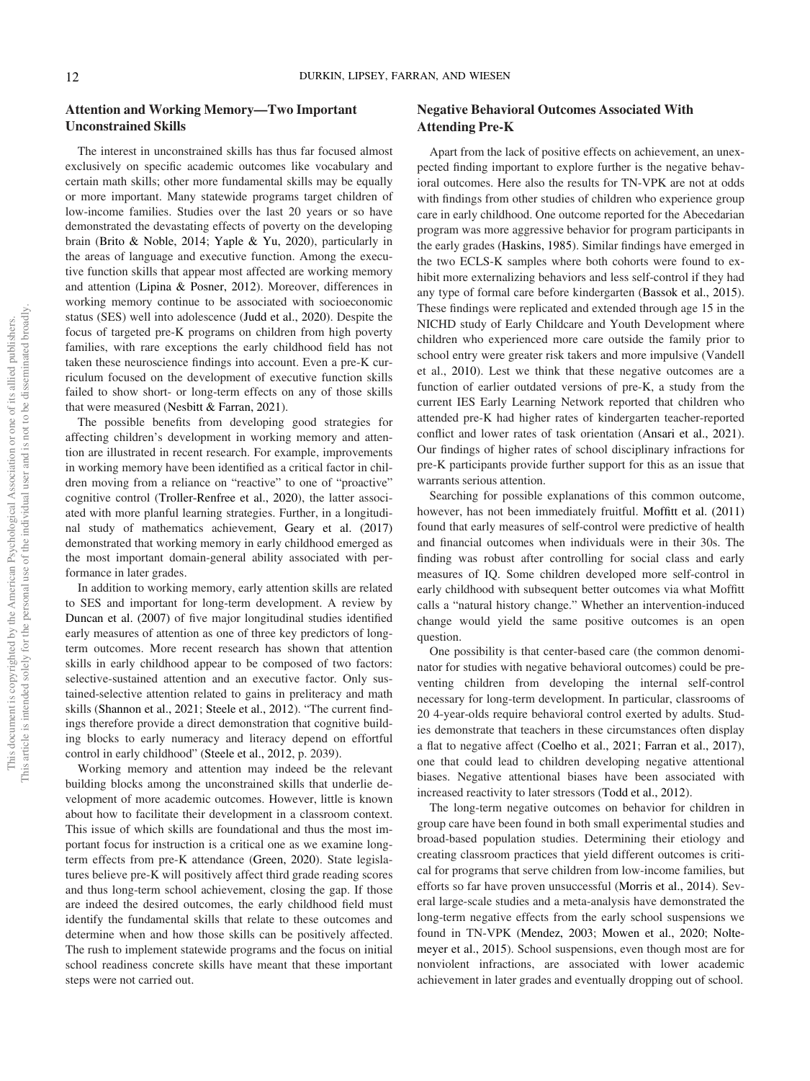# Attention and Working Memory—Two Important Unconstrained Skills

The interest in unconstrained skills has thus far focused almost exclusively on specific academic outcomes like vocabulary and certain math skills; other more fundamental skills may be equally or more important. Many statewide programs target children of low-income families. Studies over the last 20 years or so have demonstrated the devastating effects of poverty on the developing brain (Brito & Noble, 2014; Yaple & Yu, 2020), particularly in the areas of language and executive function. Among the executive function skills that appear most affected are working memory and attention (Lipina & Posner, 2012). Moreover, differences in working memory continue to be associated with socioeconomic status (SES) well into adolescence (Judd et al., 2020). Despite the focus of targeted pre-K programs on children from high poverty families, with rare exceptions the early childhood field has not taken these neuroscience findings into account. Even a pre-K curriculum focused on the development of executive function skills failed to show short- or long-term effects on any of those skills that were measured (Nesbitt & Farran, 2021).

The possible benefits from developing good strategies for affecting children's development in working memory and attention are illustrated in recent research. For example, improvements in working memory have been identified as a critical factor in children moving from a reliance on "reactive" to one of "proactive" cognitive control (Troller-Renfree et al., 2020), the latter associated with more planful learning strategies. Further, in a longitudinal study of mathematics achievement, Geary et al. (2017) demonstrated that working memory in early childhood emerged as the most important domain-general ability associated with performance in later grades.

In addition to working memory, early attention skills are related to SES and important for long-term development. A review by Duncan et al. (2007) of five major longitudinal studies identified early measures of attention as one of three key predictors of longterm outcomes. More recent research has shown that attention skills in early childhood appear to be composed of two factors: selective-sustained attention and an executive factor. Only sustained-selective attention related to gains in preliteracy and math skills (Shannon et al., 2021; Steele et al., 2012). "The current findings therefore provide a direct demonstration that cognitive building blocks to early numeracy and literacy depend on effortful control in early childhood" (Steele et al., 2012, p. 2039).

Working memory and attention may indeed be the relevant building blocks among the unconstrained skills that underlie development of more academic outcomes. However, little is known about how to facilitate their development in a classroom context. This issue of which skills are foundational and thus the most important focus for instruction is a critical one as we examine longterm effects from pre-K attendance (Green, 2020). State legislatures believe pre-K will positively affect third grade reading scores and thus long-term school achievement, closing the gap. If those are indeed the desired outcomes, the early childhood field must identify the fundamental skills that relate to these outcomes and determine when and how those skills can be positively affected. The rush to implement statewide programs and the focus on initial school readiness concrete skills have meant that these important steps were not carried out.

# Negative Behavioral Outcomes Associated With Attending Pre-K

Apart from the lack of positive effects on achievement, an unexpected finding important to explore further is the negative behavioral outcomes. Here also the results for TN-VPK are not at odds with findings from other studies of children who experience group care in early childhood. One outcome reported for the Abecedarian program was more aggressive behavior for program participants in the early grades (Haskins, 1985). Similar findings have emerged in the two ECLS-K samples where both cohorts were found to exhibit more externalizing behaviors and less self-control if they had any type of formal care before kindergarten (Bassok et al., 2015). These findings were replicated and extended through age 15 in the NICHD study of Early Childcare and Youth Development where children who experienced more care outside the family prior to school entry were greater risk takers and more impulsive (Vandell et al., 2010). Lest we think that these negative outcomes are a function of earlier outdated versions of pre-K, a study from the current IES Early Learning Network reported that children who attended pre-K had higher rates of kindergarten teacher-reported conflict and lower rates of task orientation (Ansari et al., 2021). Our findings of higher rates of school disciplinary infractions for pre-K participants provide further support for this as an issue that warrants serious attention.

Searching for possible explanations of this common outcome, however, has not been immediately fruitful. Moffitt et al. (2011) found that early measures of self-control were predictive of health and financial outcomes when individuals were in their 30s. The finding was robust after controlling for social class and early measures of IQ. Some children developed more self-control in early childhood with subsequent better outcomes via what Moffitt calls a "natural history change." Whether an intervention-induced change would yield the same positive outcomes is an open question.

One possibility is that center-based care (the common denominator for studies with negative behavioral outcomes) could be preventing children from developing the internal self-control necessary for long-term development. In particular, classrooms of 20 4-year-olds require behavioral control exerted by adults. Studies demonstrate that teachers in these circumstances often display a flat to negative affect (Coelho et al., 2021; Farran et al., 2017), one that could lead to children developing negative attentional biases. Negative attentional biases have been associated with increased reactivity to later stressors (Todd et al., 2012).

The long-term negative outcomes on behavior for children in group care have been found in both small experimental studies and broad-based population studies. Determining their etiology and creating classroom practices that yield different outcomes is critical for programs that serve children from low-income families, but efforts so far have proven unsuccessful (Morris et al., 2014). Several large-scale studies and a meta-analysis have demonstrated the long-term negative effects from the early school suspensions we found in TN-VPK (Mendez, 2003; Mowen et al., 2020; Noltemeyer et al., 2015). School suspensions, even though most are for nonviolent infractions, are associated with lower academic achievement in later grades and eventually dropping out of school.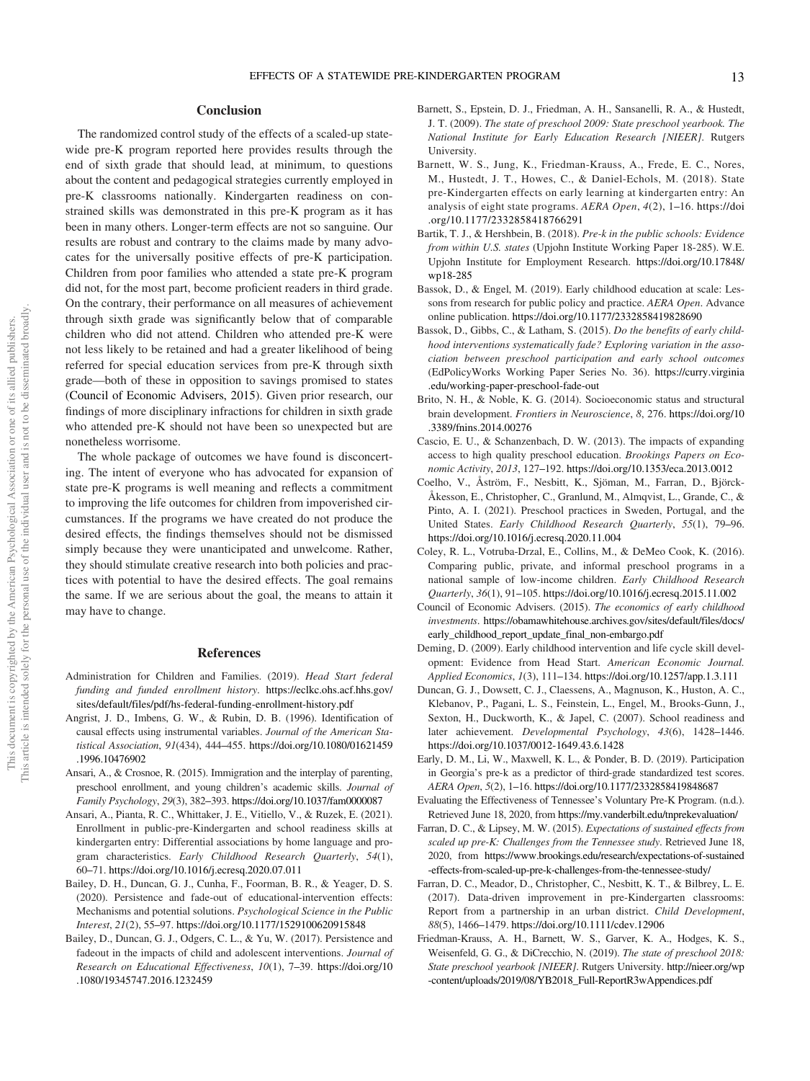## **Conclusion**

The randomized control study of the effects of a scaled-up statewide pre-K program reported here provides results through the end of sixth grade that should lead, at minimum, to questions about the content and pedagogical strategies currently employed in pre-K classrooms nationally. Kindergarten readiness on constrained skills was demonstrated in this pre-K program as it has been in many others. Longer-term effects are not so sanguine. Our results are robust and contrary to the claims made by many advocates for the universally positive effects of pre-K participation. Children from poor families who attended a state pre-K program did not, for the most part, become proficient readers in third grade. On the contrary, their performance on all measures of achievement through sixth grade was significantly below that of comparable children who did not attend. Children who attended pre-K were not less likely to be retained and had a greater likelihood of being referred for special education services from pre-K through sixth grade—both of these in opposition to savings promised to states (Council of Economic Advisers, 2015). Given prior research, our findings of more disciplinary infractions for children in sixth grade who attended pre-K should not have been so unexpected but are nonetheless worrisome.

The whole package of outcomes we have found is disconcerting. The intent of everyone who has advocated for expansion of state pre-K programs is well meaning and reflects a commitment to improving the life outcomes for children from impoverished circumstances. If the programs we have created do not produce the desired effects, the findings themselves should not be dismissed simply because they were unanticipated and unwelcome. Rather, they should stimulate creative research into both policies and practices with potential to have the desired effects. The goal remains the same. If we are serious about the goal, the means to attain it may have to change.

# References

- Administration for Children and Families. (2019). *Head Start federal funding and funded enrollment history*. https://eclkc.ohs.acf.hhs.gov/ sites/default/files/pdf/hs-federal-funding-enrollment-history.pdf
- Angrist, J. D., Imbens, G. W., & Rubin, D. B. (1996). Identification of causal effects using instrumental variables. *Journal of the American Statistical Association*, *91*(434), 444–455. https://doi.org/10.1080/01621459 .1996.10476902
- Ansari, A., & Crosnoe, R. (2015). Immigration and the interplay of parenting, preschool enrollment, and young children's academic skills. *Journal of Family Psychology*, *29*(3), 382–393. https://doi.org/10.1037/fam0000087
- Ansari, A., Pianta, R. C., Whittaker, J. E., Vitiello, V., & Ruzek, E. (2021). Enrollment in public-pre-Kindergarten and school readiness skills at kindergarten entry: Differential associations by home language and program characteristics. *Early Childhood Research Quarterly*, *54*(1), 60–71. https://doi.org/10.1016/j.ecresq.2020.07.011
- Bailey, D. H., Duncan, G. J., Cunha, F., Foorman, B. R., & Yeager, D. S. (2020). Persistence and fade-out of educational-intervention effects: Mechanisms and potential solutions. *Psychological Science in the Public Interest*, *21*(2), 55–97. https://doi.org/10.1177/1529100620915848
- Bailey, D., Duncan, G. J., Odgers, C. L., & Yu, W. (2017). Persistence and fadeout in the impacts of child and adolescent interventions. *Journal of Research on Educational Effectiveness*, *10*(1), 7–39. https://doi.org/10 .1080/19345747.2016.1232459
- Barnett, S., Epstein, D. J., Friedman, A. H., Sansanelli, R. A., & Hustedt, J. T. (2009). *The state of preschool 2009: State preschool yearbook. The National Institute for Early Education Research [NIEER]*. Rutgers **University**
- Barnett, W. S., Jung, K., Friedman-Krauss, A., Frede, E. C., Nores, M., Hustedt, J. T., Howes, C., & Daniel-Echols, M. (2018). State pre-Kindergarten effects on early learning at kindergarten entry: An analysis of eight state programs. *AERA Open*, *4*(2), 1–16. https://doi .org/10.1177/2332858418766291
- Bartik, T. J., & Hershbein, B. (2018). *Pre-k in the public schools: Evidence from within U.S. states* (Upjohn Institute Working Paper 18-285). W.E. Upjohn Institute for Employment Research. https://doi.org/10.17848/ wp18-285
- Bassok, D., & Engel, M. (2019). Early childhood education at scale: Lessons from research for public policy and practice. *AERA Open*. Advance online publication. https://doi.org/10.1177/2332858419828690
- Bassok, D., Gibbs, C., & Latham, S. (2015). *Do the benefits of early childhood interventions systematically fade? Exploring variation in the association between preschool participation and early school outcomes* (EdPolicyWorks Working Paper Series No. 36). https://curry.virginia .edu/working-paper-preschool-fade-out
- Brito, N. H., & Noble, K. G. (2014). Socioeconomic status and structural brain development. *Frontiers in Neuroscience*, *8*, 276. https://doi.org/10 .3389/fnins.2014.00276
- Cascio, E. U., & Schanzenbach, D. W. (2013). The impacts of expanding access to high quality preschool education. *Brookings Papers on Economic Activity*, *2013*, 127–192. https://doi.org/10.1353/eca.2013.0012
- Coelho, V., Åström, F., Nesbitt, K., Sjöman, M., Farran, D., Björck-Åkesson, E., Christopher, C., Granlund, M., Almqvist, L., Grande, C., & Pinto, A. I. (2021). Preschool practices in Sweden, Portugal, and the United States. *Early Childhood Research Quarterly*, *55*(1), 79–96. https://doi.org/10.1016/j.ecresq.2020.11.004
- Coley, R. L., Votruba-Drzal, E., Collins, M., & DeMeo Cook, K. (2016). Comparing public, private, and informal preschool programs in a national sample of low-income children. *Early Childhood Research Quarterly*, *36*(1), 91–105. https://doi.org/10.1016/j.ecresq.2015.11.002
- Council of Economic Advisers. (2015). *The economics of early childhood investments*. https://obamawhitehouse.archives.gov/sites/default/files/docs/ early\_childhood\_report\_update\_final\_non-embargo.pdf
- Deming, D. (2009). Early childhood intervention and life cycle skill development: Evidence from Head Start. *American Economic Journal. Applied Economics*, *1*(3), 111–134. https://doi.org/10.1257/app.1.3.111
- Duncan, G. J., Dowsett, C. J., Claessens, A., Magnuson, K., Huston, A. C., Klebanov, P., Pagani, L. S., Feinstein, L., Engel, M., Brooks-Gunn, J., Sexton, H., Duckworth, K., & Japel, C. (2007). School readiness and later achievement. *Developmental Psychology*, *43*(6), 1428–1446. https://doi.org/10.1037/0012-1649.43.6.1428
- Early, D. M., Li, W., Maxwell, K. L., & Ponder, B. D. (2019). Participation in Georgia's pre-k as a predictor of third-grade standardized test scores. *AERA Open*, *5*(2), 1–16. https://doi.org/10.1177/2332858419848687
- Evaluating the Effectiveness of Tennessee's Voluntary Pre-K Program. (n.d.). Retrieved June 18, 2020, from https://my.vanderbilt.edu/tnprekevaluation/
- Farran, D. C., & Lipsey, M. W. (2015). *Expectations of sustained effects from scaled up pre-K: Challenges from the Tennessee study*. Retrieved June 18, 2020, from https://www.brookings.edu/research/expectations-of-sustained -effects-from-scaled-up-pre-k-challenges-from-the-tennessee-study/
- Farran, D. C., Meador, D., Christopher, C., Nesbitt, K. T., & Bilbrey, L. E. (2017). Data-driven improvement in pre-Kindergarten classrooms: Report from a partnership in an urban district. *Child Development*, *88*(5), 1466–1479. https://doi.org/10.1111/cdev.12906
- Friedman-Krauss, A. H., Barnett, W. S., Garver, K. A., Hodges, K. S., Weisenfeld, G. G., & DiCrecchio, N. (2019). *The state of preschool 2018: State preschool yearbook [NIEER]*. Rutgers University. http://nieer.org/wp -content/uploads/2019/08/YB2018\_Full-ReportR3wAppendices.pdf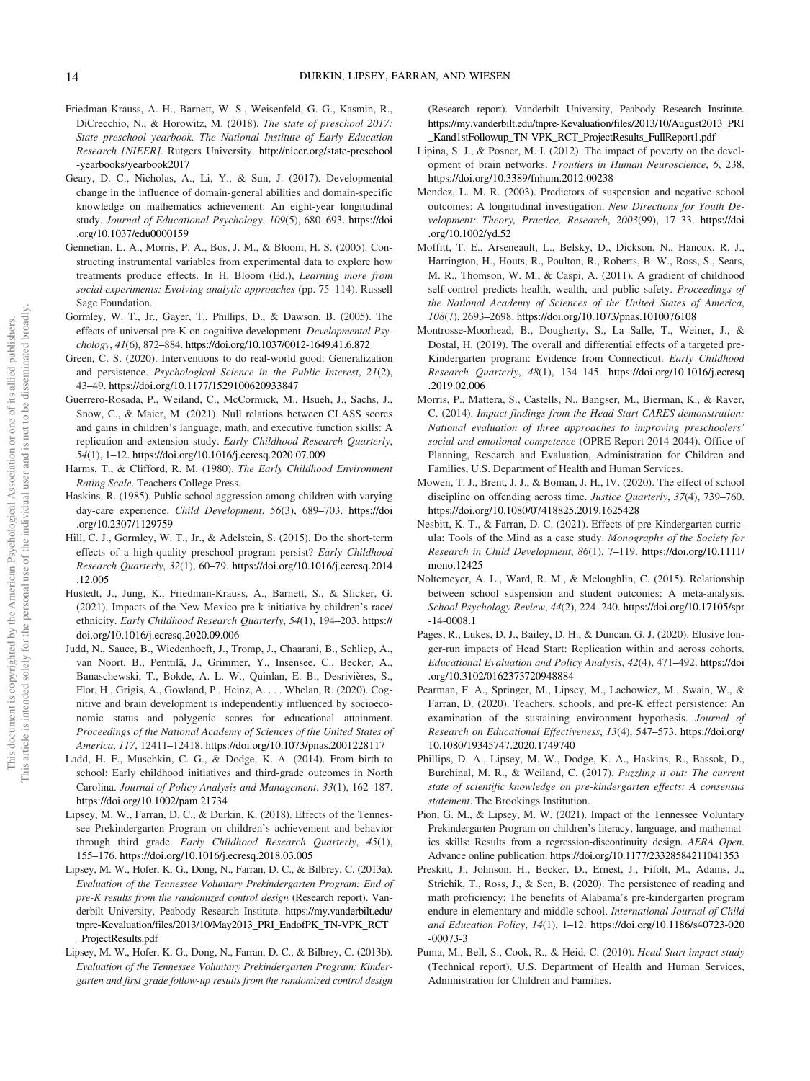- Friedman-Krauss, A. H., Barnett, W. S., Weisenfeld, G. G., Kasmin, R., DiCrecchio, N., & Horowitz, M. (2018). *The state of preschool 2017: State preschool yearbook. The National Institute of Early Education Research [NIEER]*. Rutgers University. http://nieer.org/state-preschool -yearbooks/yearbook2017
- Geary, D. C., Nicholas, A., Li, Y., & Sun, J. (2017). Developmental change in the influence of domain-general abilities and domain-specific knowledge on mathematics achievement: An eight-year longitudinal study. *Journal of Educational Psychology*, *109*(5), 680–693. https://doi .org/10.1037/edu0000159
- Gennetian, L. A., Morris, P. A., Bos, J. M., & Bloom, H. S. (2005). Constructing instrumental variables from experimental data to explore how treatments produce effects. In H. Bloom (Ed.), *Learning more from social experiments: Evolving analytic approaches* (pp. 75–114). Russell Sage Foundation.
- Gormley, W. T., Jr., Gayer, T., Phillips, D., & Dawson, B. (2005). The effects of universal pre-K on cognitive development. *Developmental Psychology*, *41*(6), 872–884. https://doi.org/10.1037/0012-1649.41.6.872
- Green, C. S. (2020). Interventions to do real-world good: Generalization and persistence. *Psychological Science in the Public Interest*, *21*(2), 43–49. https://doi.org/10.1177/1529100620933847
- Guerrero-Rosada, P., Weiland, C., McCormick, M., Hsueh, J., Sachs, J., Snow, C., & Maier, M. (2021). Null relations between CLASS scores and gains in children's language, math, and executive function skills: A replication and extension study. *Early Childhood Research Quarterly*, *54*(1), 1–12. https://doi.org/10.1016/j.ecresq.2020.07.009
- Harms, T., & Clifford, R. M. (1980). *The Early Childhood Environment Rating Scale*. Teachers College Press.
- Haskins, R. (1985). Public school aggression among children with varying day-care experience. *Child Development*, *56*(3), 689–703. https://doi .org/10.2307/1129759
- Hill, C. J., Gormley, W. T., Jr., & Adelstein, S. (2015). Do the short-term effects of a high-quality preschool program persist? *Early Childhood Research Quarterly*, *32*(1), 60–79. https://doi.org/10.1016/j.ecresq.2014 .12.005
- Hustedt, J., Jung, K., Friedman-Krauss, A., Barnett, S., & Slicker, G. (2021). Impacts of the New Mexico pre-k initiative by children's race/ ethnicity. *Early Childhood Research Quarterly*, *54*(1), 194–203. https:// doi.org/10.1016/j.ecresq.2020.09.006
- Judd, N., Sauce, B., Wiedenhoeft, J., Tromp, J., Chaarani, B., Schliep, A., van Noort, B., Penttilä, J., Grimmer, Y., Insensee, C., Becker, A., Banaschewski, T., Bokde, A. L. W., Quinlan, E. B., Desrivières, S., Flor, H., Grigis, A., Gowland, P., Heinz, A. . . . Whelan, R. (2020). Cognitive and brain development is independently influenced by socioeconomic status and polygenic scores for educational attainment. *Proceedings of the National Academy of Sciences of the United States of America*, *117*, 12411–12418. https://doi.org/10.1073/pnas.2001228117
- Ladd, H. F., Muschkin, C. G., & Dodge, K. A. (2014). From birth to school: Early childhood initiatives and third-grade outcomes in North Carolina. *Journal of Policy Analysis and Management*, *33*(1), 162–187. https://doi.org/10.1002/pam.21734
- Lipsey, M. W., Farran, D. C., & Durkin, K. (2018). Effects of the Tennessee Prekindergarten Program on children's achievement and behavior through third grade. *Early Childhood Research Quarterly*, *45*(1), 155–176. https://doi.org/10.1016/j.ecresq.2018.03.005
- Lipsey, M. W., Hofer, K. G., Dong, N., Farran, D. C., & Bilbrey, C. (2013a). *Evaluation of the Tennessee Voluntary Prekindergarten Program: End of pre-K results from the randomized control design* (Research report). Vanderbilt University, Peabody Research Institute. https://my.vanderbilt.edu/ tnpre-Kevaluation/files/2013/10/May2013\_PRI\_EndofPK\_TN-VPK\_RCT \_ProjectResults.pdf
- Lipsey, M. W., Hofer, K. G., Dong, N., Farran, D. C., & Bilbrey, C. (2013b). *Evaluation of the Tennessee Voluntary Prekindergarten Program: Kindergarten and first grade follow-up results from the randomized control design*

(Research report). Vanderbilt University, Peabody Research Institute. https://my.vanderbilt.edu/tnpre-Kevaluation/files/2013/10/August2013\_PRI \_Kand1stFollowup\_TN-VPK\_RCT\_ProjectResults\_FullReport1.pdf

- Lipina, S. J., & Posner, M. I. (2012). The impact of poverty on the development of brain networks. *Frontiers in Human Neuroscience*, *6*, 238. https://doi.org/10.3389/fnhum.2012.00238
- Mendez, L. M. R. (2003). Predictors of suspension and negative school outcomes: A longitudinal investigation. *New Directions for Youth Development: Theory, Practice, Research*, *2003*(99), 17–33. https://doi .org/10.1002/yd.52
- Moffitt, T. E., Arseneault, L., Belsky, D., Dickson, N., Hancox, R. J., Harrington, H., Houts, R., Poulton, R., Roberts, B. W., Ross, S., Sears, M. R., Thomson, W. M., & Caspi, A. (2011). A gradient of childhood self-control predicts health, wealth, and public safety. *Proceedings of the National Academy of Sciences of the United States of America*, *108*(7), 2693–2698. https://doi.org/10.1073/pnas.1010076108
- Montrosse-Moorhead, B., Dougherty, S., La Salle, T., Weiner, J., & Dostal, H. (2019). The overall and differential effects of a targeted pre-Kindergarten program: Evidence from Connecticut. *Early Childhood Research Quarterly*, *48*(1), 134–145. https://doi.org/10.1016/j.ecresq .2019.02.006
- Morris, P., Mattera, S., Castells, N., Bangser, M., Bierman, K., & Raver, C. (2014). *Impact findings from the Head Start CARES demonstration: National evaluation of three approaches to improving preschoolers*' *social and emotional competence* (OPRE Report 2014-2044). Office of Planning, Research and Evaluation, Administration for Children and Families, U.S. Department of Health and Human Services.
- Mowen, T. J., Brent, J. J., & Boman, J. H., IV. (2020). The effect of school discipline on offending across time. *Justice Quarterly*, *37*(4), 739–760. https://doi.org/10.1080/07418825.2019.1625428
- Nesbitt, K. T., & Farran, D. C. (2021). Effects of pre-Kindergarten curricula: Tools of the Mind as a case study. *Monographs of the Society for Research in Child Development*, *86*(1), 7–119. https://doi.org/10.1111/ mono.12425
- Noltemeyer, A. L., Ward, R. M., & Mcloughlin, C. (2015). Relationship between school suspension and student outcomes: A meta-analysis. *School Psychology Review*, *44*(2), 224–240. https://doi.org/10.17105/spr -14-0008.1
- Pages, R., Lukes, D. J., Bailey, D. H., & Duncan, G. J. (2020). Elusive longer-run impacts of Head Start: Replication within and across cohorts. *Educational Evaluation and Policy Analysis*, *42*(4), 471–492. https://doi .org/10.3102/0162373720948884
- Pearman, F. A., Springer, M., Lipsey, M., Lachowicz, M., Swain, W., & Farran, D. (2020). Teachers, schools, and pre-K effect persistence: An examination of the sustaining environment hypothesis. *Journal of Research on Educational Effectiveness*, *13*(4), 547–573. https://doi.org/ 10.1080/19345747.2020.1749740
- Phillips, D. A., Lipsey, M. W., Dodge, K. A., Haskins, R., Bassok, D., Burchinal, M. R., & Weiland, C. (2017). *Puzzling it out: The current state of scientific knowledge on pre-kindergarten effects: A consensus statement*. The Brookings Institution.
- Pion, G. M., & Lipsey, M. W. (2021). Impact of the Tennessee Voluntary Prekindergarten Program on children's literacy, language, and mathematics skills: Results from a regression-discontinuity design. *AERA Open*. Advance online publication. https://doi.org/10.1177/23328584211041353
- Preskitt, J., Johnson, H., Becker, D., Ernest, J., Fifolt, M., Adams, J., Strichik, T., Ross, J., & Sen, B. (2020). The persistence of reading and math proficiency: The benefits of Alabama's pre-kindergarten program endure in elementary and middle school. *International Journal of Child and Education Policy*, *14*(1), 1–12. https://doi.org/10.1186/s40723-020 -00073-3
- Puma, M., Bell, S., Cook, R., & Heid, C. (2010). *Head Start impact study* (Technical report). U.S. Department of Health and Human Services, Administration for Children and Families.